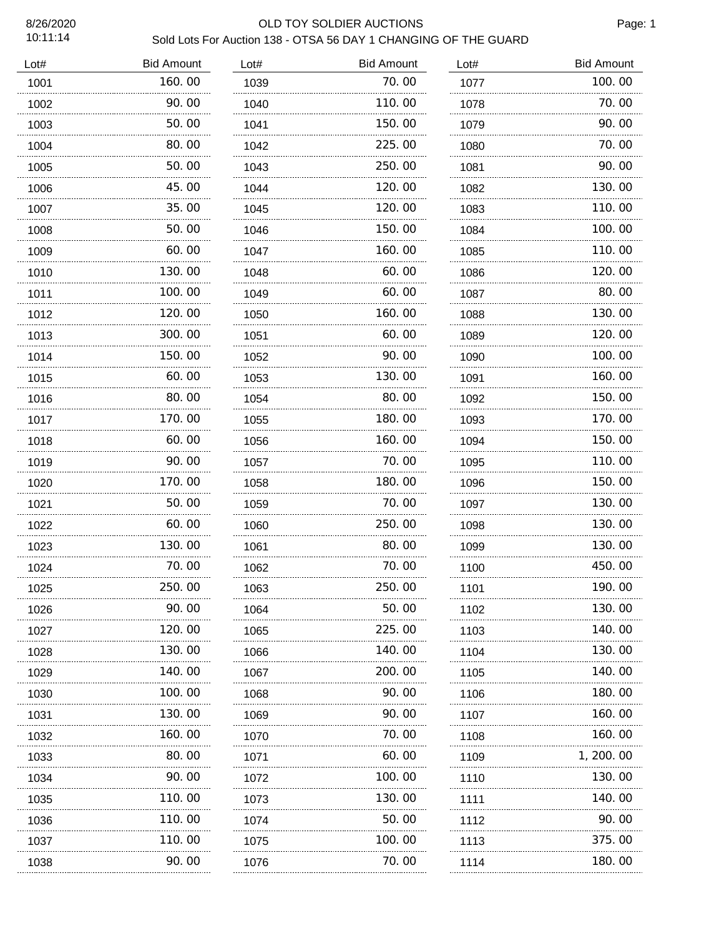| 10:11:14 | OLD TOY SOLDIER AUCTIONS<br>Sold Lots For Auction 138 - OTSA 56 DAY 1 CHANGING OF THE GUARD |      |                   |      |                   |  |
|----------|---------------------------------------------------------------------------------------------|------|-------------------|------|-------------------|--|
| Lot#     | <b>Bid Amount</b>                                                                           | Lot# | <b>Bid Amount</b> | Lot# | <b>Bid Amount</b> |  |
| 1001     | 160.00                                                                                      | 1039 | 70.00             | 1077 | 100.00            |  |
| 1002     | 90.00                                                                                       | 1040 | 110.00            | 1078 | 70.00             |  |
| 1003     | 50.00                                                                                       | 1041 | 150.00            | 1079 | 90.00             |  |
| 1004     | 80. 00                                                                                      | 1042 | 225.00            | 1080 | 70.00             |  |
| 1005     | 50.00                                                                                       | 1043 | 250.00            | 1081 | 90.00             |  |
| 1006     | 45.00                                                                                       | 1044 | 120.00            | 1082 | 130.00            |  |
| 1007     | 35.00                                                                                       | 1045 | 120.00            | 1083 | 110.00            |  |
| 1008     | 50.00                                                                                       | 1046 | 150.00            | 1084 | 100. 00           |  |
| 1009     | 60.00                                                                                       | 1047 | 160.00            | 1085 | 110.00            |  |
| 1010     | 130.00                                                                                      | 1048 | 60.00             | 1086 | 120.00            |  |
| 1011     | 100. 00                                                                                     | 1049 | 60.00             | 1087 | 80.00             |  |
| 1012     | 120.00                                                                                      | 1050 | 160. 00           | 1088 | 130.00            |  |
| 1013     | 300.00                                                                                      | 1051 | 60.00             | 1089 | 120. 00           |  |
| 1014     | 150.00                                                                                      | 1052 | 90.00             | 1090 | 100, 00           |  |
| 1015     | 60. 00                                                                                      | 1053 | 130.00            | 1091 | 160.00            |  |
| 1016     | 80.00                                                                                       | 1054 | 80.00             | 1092 | 150.00            |  |
| 1017     | 170. 00                                                                                     | 1055 | 180.00            | 1093 | 170.00            |  |
| 1018     | 60.00                                                                                       | 1056 | 160.00            | 1094 | 150.00            |  |
| 1019     | 90.00                                                                                       | 1057 | 70.00             | 1095 | 110.00            |  |
| 1020     | 170.00                                                                                      | 1058 | 180.00            | 1096 | 150.00            |  |
| 1021     | 50.00                                                                                       | 1059 | 70.00             | 1097 | 130.00            |  |
| 1022     | 60.00                                                                                       | 1060 | 250.00            | 1098 | 130.00            |  |
| 1023     | 130.00                                                                                      | 1061 | 80.00             | 1099 | 130.00            |  |
| 1024     | 70. 00                                                                                      | 1062 | 70. 00            | 1100 | 450.00            |  |
| 1025     | 250.00                                                                                      | 1063 | 250.00            | 1101 | 190. 00           |  |
| 1026     | 90. 00                                                                                      | 1064 | 50.00             | 1102 | 130. 00           |  |
| 1027     | 120.00                                                                                      | 1065 | 225.00            | 1103 | 140.00            |  |
| 1028     | 130. 00                                                                                     | 1066 | 140. 00           | 1104 | 130. 00           |  |
| 1029     | 140.00                                                                                      | 1067 | 200.00            | 1105 | 140.00            |  |
| 1030     | 100.00                                                                                      | 1068 | 90.00             | 1106 | 180.00            |  |
| 1031     | 130.00                                                                                      | 1069 | 90.00             | 1107 | 160.00            |  |
| 1032     | 160.00                                                                                      | 1070 | 70.00             | 1108 | 160.00            |  |
| 1033     | 80.00                                                                                       | 1071 | 60.00             | 1109 | 1, 200. 00        |  |
| 1034     | 90.00                                                                                       | 1072 | 100.00            | 1110 | 130.00            |  |
| 1035     | 110.00                                                                                      | 1073 | 130.00            | 1111 | 140.00            |  |
| 1036     | 110.00                                                                                      | 1074 | 50.00             | 1112 | 90.00             |  |
| 1037     | 110.00                                                                                      | 1075 | 100. 00           | 1113 | 375.00            |  |
| 1038     | 90.00                                                                                       | 1076 | 70. 00            | 1114 | 180. 00           |  |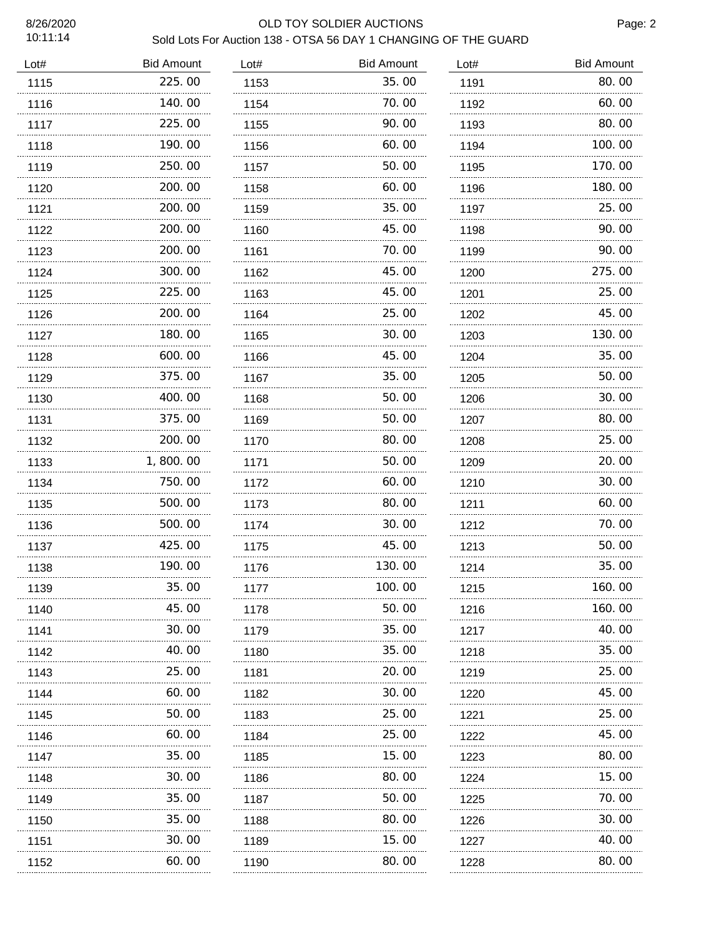10:11:14

# 8/26/2020 OLD TOY SOLDIER AUCTIONS

| Sold Lots For Auction 138 - OTSA 56 DAY 1 CHANGING OF THE GUARD |  |
|-----------------------------------------------------------------|--|
|                                                                 |  |

| Lot# | <b>Bid Amount</b> | Lot# | <b>Bid Amount</b> | Lot# | <b>Bid Amount</b> |
|------|-------------------|------|-------------------|------|-------------------|
| 1115 | 225.00            | 1153 | 35.00             | 1191 | 80.00             |
| 1116 | 140.00            | 1154 | 70.00             | 1192 | 60.00             |
| 1117 | 225.00            | 1155 | 90. OO            | 1193 | 80.00             |
| 1118 | 190.00            | 1156 | 60.00             | 1194 | 100.00            |
| 1119 | 250.00            | 1157 | 50.00             | 1195 | 170.00            |
| 1120 | 200.00            | 1158 | 60.00             | 1196 | 180.00            |
| 1121 | 200.00            | 1159 | 35.00             | 1197 | 25.00             |
| 1122 | 200.00            | 1160 | 45.00             | 1198 | 90.00             |
| 1123 | 200.00            | 1161 | 70.00             | 1199 | 90.00             |
| 1124 | 300.00            | 1162 | 45.00             | 1200 | 275.00            |
| 1125 | 225.00            | 1163 | 45.00             | 1201 | 25.00             |
| 1126 | 200.00            | 1164 | 25.00             | 1202 | 45.00             |
| 1127 | 180.00            | 1165 | 30.00             | 1203 | 130.00            |
| 1128 | 600.00            | 1166 | 45.00             | 1204 | 35.00             |
| 1129 | 375.00            | 1167 | 35.00             | 1205 | 50.00             |
| 1130 | 400.00<br>.       | 1168 | 50.00<br>.        | 1206 | 30.00             |
| 1131 | 375.00            | 1169 | 50.00             | 1207 | 80.00             |
| 1132 | 200.00            | 1170 | 80.00             | 1208 | 25.00             |
| 1133 | 1,800.00          | 1171 | 50.00             | 1209 | 20.00             |
| 1134 | 750.00            | 1172 | 60.00             | 1210 | 30.00             |
| 1135 | 500.00            | 1173 | 80.00             | 1211 | 60.00             |
| 1136 | 500.00<br>.       | 1174 | 30.00             | 1212 | 70.00             |
| 1137 | 425.00            | 1175 | 45.00             | 1213 | 50.00             |
| 1138 | 190.00<br>.       | 1176 | 130.00            | 1214 | 35.00             |
| 1139 | 35.00             | 1177 | 100.00            | 1215 | 160.00            |
| 1140 | 45.00             | 1178 | 50.00             | 1216 | 160.00            |
| 1141 | 30. 00            | 1179 | 35.00             | 1217 | 40.00             |
| 1142 | 40.00             | 1180 | 35.00             | 1218 | 35.00             |
| 1143 | 25.00             | 1181 | 20. 00            | 1219 | 25.00             |
| 1144 | 60.00             | 1182 | 30.00             | 1220 | 45.00             |
| 1145 | 50.00             | 1183 | 25.00             | 1221 | 25.00             |
| 1146 | 60.00             | 1184 | 25.00             | 1222 | 45.00             |
| 1147 | 35.00             | 1185 | 15.00             | 1223 | 80.00             |
| 1148 | 30.00             | 1186 | 80.00             | 1224 | 15.00             |
| 1149 | 35.00             | 1187 | 50.00             | 1225 | 70.00             |
| 1150 | 35.00             | 1188 | 80.00             | 1226 | 30. 00            |
| 1151 | 30. 00            | 1189 | 15.00             | 1227 | 40.00             |
| 1152 | 60.00             | 1190 | 80.00             | 1228 | 80.00             |
|      |                   |      |                   |      |                   |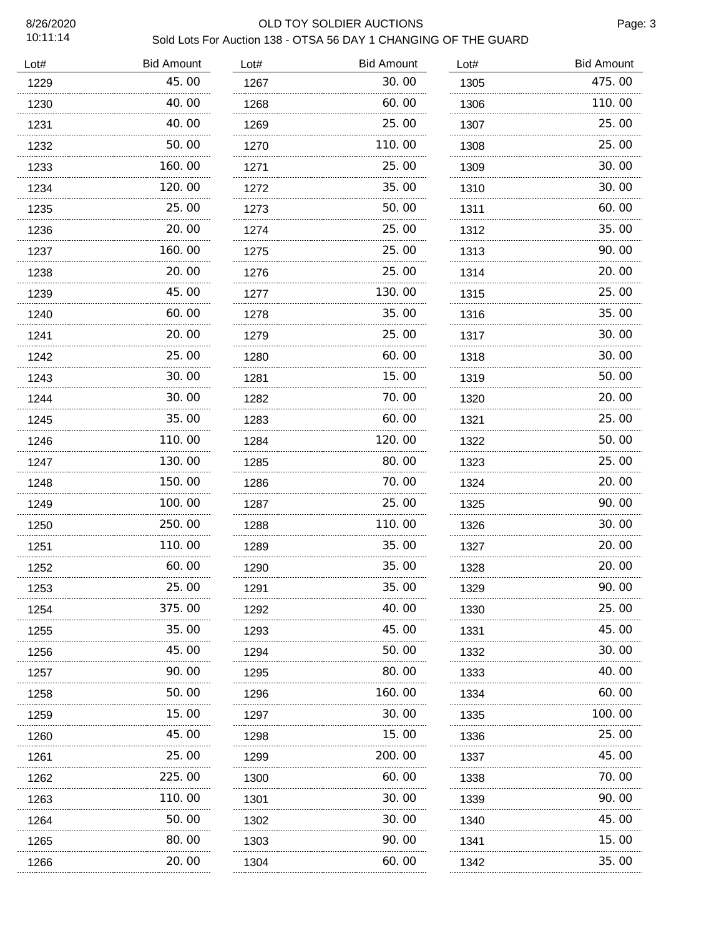age: 3

| 8/26/2020<br>10:11:14 | OLD TOY SOLDIER AUCTIONS<br>Pa<br>Sold Lots For Auction 138 - OTSA 56 DAY 1 CHANGING OF THE GUARD |      |                   |      |                   |  |  |
|-----------------------|---------------------------------------------------------------------------------------------------|------|-------------------|------|-------------------|--|--|
| Lot#                  | <b>Bid Amount</b>                                                                                 | Lot# | <b>Bid Amount</b> | Lot# | <b>Bid Amount</b> |  |  |
| 1229                  | 45.00                                                                                             | 1267 | 30.00             | 1305 | 475.00            |  |  |
| 1230                  | 40.00                                                                                             | 1268 | 60.00             | 1306 | 110.00            |  |  |
| 1231                  | 40.00                                                                                             | 1269 | 25.00             | 1307 | 25.00             |  |  |
| 1232                  | 50.00                                                                                             | 1270 | 110.00            | 1308 | 25.00             |  |  |
| 1233                  | 160.00                                                                                            | 1271 | 25.00             | 1309 | 30.00             |  |  |
| 1234                  | 120.00                                                                                            | 1272 | 35.00             | 1310 | 30.00             |  |  |
| 1235                  | 25.00                                                                                             | 1273 | 50.00             | 1311 | 60.00             |  |  |
| 1236                  | 20.00                                                                                             | 1274 | 25.00             | 1312 | 35.00             |  |  |
| 1237                  | 160.00                                                                                            | 1275 | 25.00             | 1313 | 90.00             |  |  |
| 1238                  | 20.00                                                                                             | 1276 | 25.00             | 1314 | 20.00             |  |  |
| 1239                  | 45.00                                                                                             | 1277 | 130.00            | 1315 | 25.00             |  |  |
| 1240                  | 60.00                                                                                             | 1278 | 35.00             | 1316 | 35.00             |  |  |
| 1241                  | 20.00                                                                                             | 1279 | 25.00             | 1317 | 30.00             |  |  |
| 1242                  | 25.00                                                                                             | 1280 | 60.00             | 1318 | 30.00             |  |  |
| 1243                  | 30.00                                                                                             | 1281 | 15.00             | 1319 | 50.00             |  |  |
| 1244                  | 30.00                                                                                             | 1282 | 70.00             | 1320 | 20.00             |  |  |
| 1245                  | 35.00                                                                                             | 1283 | 60.00             | 1321 | 25.00             |  |  |
| 1246                  | 110.00                                                                                            | 1284 | 120.00            | 1322 | 50.00             |  |  |
| 1247                  | 130.00                                                                                            | 1285 | 80.00             | 1323 | 25.00             |  |  |
| 1248                  | 150.00                                                                                            | 1286 | 70.00             | 1324 | 20.00             |  |  |
| 1249                  | 100.00                                                                                            | 1287 | 25.00             | 1325 | 90.00             |  |  |
| 1250                  | 250.00                                                                                            | 1288 | 110.00            | 1326 | 30.00             |  |  |
| 1251                  | 110.00                                                                                            | 1289 | 35.00             | 1327 | 20.00             |  |  |
| 1252                  | 60. 00                                                                                            | 1290 | 35.00             | 1328 | 20.00             |  |  |
| 1253                  | 25.00                                                                                             | 1291 | 35.00             | 1329 | 90.00             |  |  |
| 1254                  | 375.00                                                                                            | 1292 | 40.00             | 1330 | 25.00             |  |  |
| 1255                  | 35.00                                                                                             | 1293 | 45.00             | 1331 | 45.00             |  |  |
| 1256                  | 45.00                                                                                             | 1294 | 50.00             | 1332 | 30.00             |  |  |
| 1257                  | 90. 00                                                                                            | 1295 | 80.00             | 1333 | 40.00             |  |  |
| 1258                  | 50.00                                                                                             | 1296 | 160. 00           | 1334 | 60.00             |  |  |
| 1259                  | 15.00                                                                                             | 1297 | 30.00             | 1335 | 100.00            |  |  |
| 1260                  | 45.00                                                                                             | 1298 | 15.00             | 1336 | 25.00             |  |  |
| 1261                  | 25.00                                                                                             | 1299 | 200.00            | 1337 | 45.00             |  |  |
| 1262                  | 225.00                                                                                            | 1300 | 60.00             | 1338 | 70.00             |  |  |
| 1263                  | 110.00                                                                                            | 1301 | 30.00             | 1339 | 90.00             |  |  |
| 1264                  | 50.00                                                                                             | 1302 | 30.00             | 1340 | 45.00             |  |  |
| 1265                  | 80.00                                                                                             | 1303 | 90.00             | 1341 | 15.00             |  |  |
| 1266                  | 20.00                                                                                             | 1304 | 60.00             | 1342 | 35.00             |  |  |
|                       |                                                                                                   |      |                   |      |                   |  |  |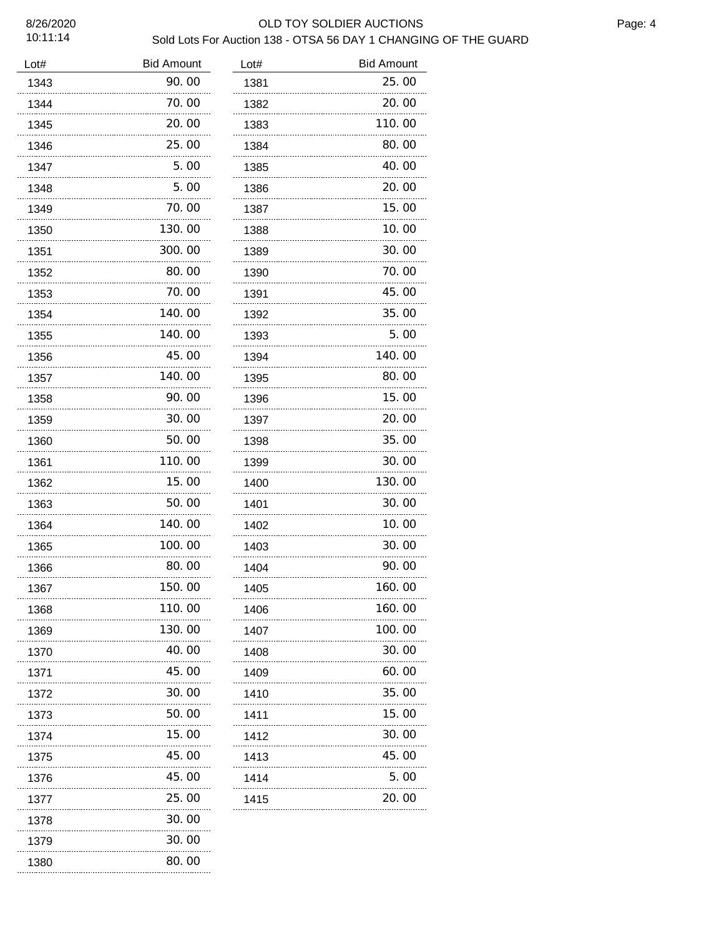10:11:14

# 8/26/2020 OLD TOY SOLDIER AUCTIONS Sold Lots For Auction 138 - OTSA 56 DAY 1 CHANGING OF THE GUARD

| Lot# | <b>Bid Amount</b> | Lot# | <b>Bid Amount</b> |
|------|-------------------|------|-------------------|
| 1343 | 90.00             | 1381 | 25.00             |
| 1344 | 70.00             | 1382 | 20.00             |
| 1345 | 20.00             | 1383 | 110.00            |
| 1346 | 25.00             | 1384 | 80.00             |
| 1347 | 5.00              | 1385 | 40.00             |
| 1348 | 5.00              | 1386 | 20.00             |
| 1349 | 70.00             | 1387 | 15.00             |
| 1350 | 130.00            | 1388 | 10.00             |
| 1351 | 300.00            | 1389 | 30.00             |
| 1352 | 80.00             | 1390 | 70.00             |
| 1353 | 70.00             | 1391 | 45.00             |
| 1354 | 140.00            | 1392 | 35.00             |
| 1355 | 140.00            | 1393 | 5.00              |
| 1356 | 45.00             | 1394 | 140.00            |
| 1357 | 140.00            | 1395 | 80.00             |
| 1358 | 90.00             | 1396 | 15.00             |
| 1359 | 30.00             | 1397 | 20.00             |
| 1360 | 50.00             | 1398 | 35.00             |
| 1361 | 110.00            | 1399 | 30.00             |
| 1362 | 15.00             | 1400 | 130.00            |
| 1363 | 50.00             | 1401 | 30.00             |
| 1364 | 140.00            | 1402 | 10.00             |
| 1365 | 100.00            | 1403 | 30.00             |
| 1366 | 80.00             | 1404 | 90.00             |
| 1367 | 150.00            | 1405 | 160. OO           |
| 1368 | 110.00            | 1406 | 160.00            |
| 1369 | 130.00            | 1407 | 100.00            |
| 1370 | 40.00             | 1408 | 30.00             |
| 1371 | 45.00             | 1409 | 60.00             |
| 1372 | 30.00             | 1410 | 35.00             |
| 1373 | 50.00             | 1411 | 15.00             |
| 1374 | 15.00             | 1412 | 30.00             |
| 1375 | 45.00             | 1413 | 45.00             |
| 1376 | 45.00             | 1414 | 5.00              |
| 1377 | 25.00             | 1415 | 20.00             |
| 1378 | 30.00             |      |                   |
| 1379 | 30.00             |      |                   |
| 1380 | 80.00             |      |                   |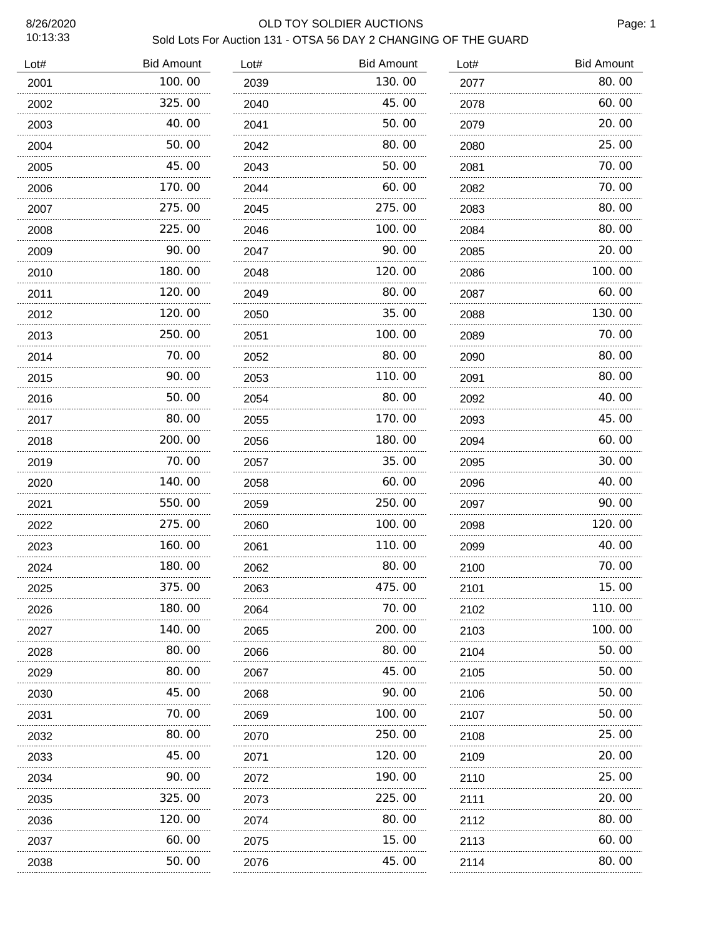### 8/26/2020 OLD TOY SOLDIER AUCTIONS Sold Lots For Auction 131 - OTSA 56 DAY 2 CHANGING OF THE GUARD

| Lot# | <b>Bid Amount</b> | Lot# | <b>Bid Amount</b> | Lot# | <b>Bid Amount</b> |
|------|-------------------|------|-------------------|------|-------------------|
| 2001 | 100.00            | 2039 | 130.00            | 2077 | 80.00             |
| 2002 | 325.00            | 2040 | 45.00             | 2078 | 60.00             |
| 2003 | 40.00             | 2041 | 50.00             | 2079 | 20.00             |
| 2004 | 50.00             | 2042 | 80.00             | 2080 | 25. 00            |
| 2005 | 45.00             | 2043 | 50.00             | 2081 | 70.00             |
| 2006 | 170.00            | 2044 | 60.00             | 2082 | 70.00             |
| 2007 | 275.00            | 2045 | 275.00            | 2083 | 80.00             |
| 2008 | 225.00            | 2046 | 100.00            | 2084 | 80.00             |
| 2009 | 90.00             | 2047 | 90.00             | 2085 | 20.00             |
| 2010 | 180.00            | 2048 | 120. 00           | 2086 | 100. 00           |
| 2011 | 120.00            | 2049 | 80.00             | 2087 | 60.00             |
| 2012 | 120.00            | 2050 | 35. OO            | 2088 | 130. 00           |
| 2013 | 250.00            | 2051 | 100.00            | 2089 | 70. 00            |
| 2014 | 70.00             | 2052 | 80.00             | 2090 | 80.00             |
| 2015 | 90.00             | 2053 | 110. 00           | 2091 | 80.00             |
| 2016 | 50.00             | 2054 | 80.00             | 2092 | 40. 00            |
| 2017 | 80.00             | 2055 | 170.00            | 2093 | 45.00             |
| 2018 | 200.00            | 2056 | 180.00            | 2094 | 60.00             |
| 2019 | 70.00             | 2057 | 35. OO            | 2095 | 30.00             |
| 2020 | 140.00            | 2058 | 60.00             | 2096 | 40.00             |
| 2021 | 550.00            | 2059 | 250.00            | 2097 | 90.00             |
| 2022 | 275.00            | 2060 | 100.00            | 2098 | 120.00            |
| 2023 | 160.00<br>.       | 2061 | 110.00            | 2099 | 40.00             |
| 2024 | 180.00            | 2062 | 80.00             | 2100 | 70.00             |
| 2025 | 375.00            | 2063 | 475.00            | 2101 | 15.00             |
| 2026 | 180. 00           | 2064 | 70. 00            | 2102 | 110.00            |
| 2027 | 140.00            | 2065 | 200.00            | 2103 | 100.00            |
| 2028 | 80.00             | 2066 | 80.00             | 2104 | 50.00             |
| 2029 | 80.00             | 2067 | 45.00             | 2105 | 50.00             |
| 2030 | 45.00             | 2068 | 90.00             | 2106 | 50.00             |
| 2031 | 70.00             | 2069 | 100.00            | 2107 | 50.00             |
| 2032 | 80.00             | 2070 | 250.00            | 2108 | 25.00             |
| 2033 | 45.00             | 2071 | 120.00            | 2109 | 20.00             |
| 2034 | 90.00             | 2072 | 190.00            | 2110 | 25.00             |
| 2035 | 325.00            | 2073 | 225.00            | 2111 | 20.00             |
| 2036 | 120.00            | 2074 | 80.00             | 2112 | 80.00             |
| 2037 | 60.00             | 2075 | 15.00             | 2113 | 60.00             |
| 2038 | 50. 00            | 2076 | 45. OO            | 2114 | 80.00             |
|      |                   |      |                   |      |                   |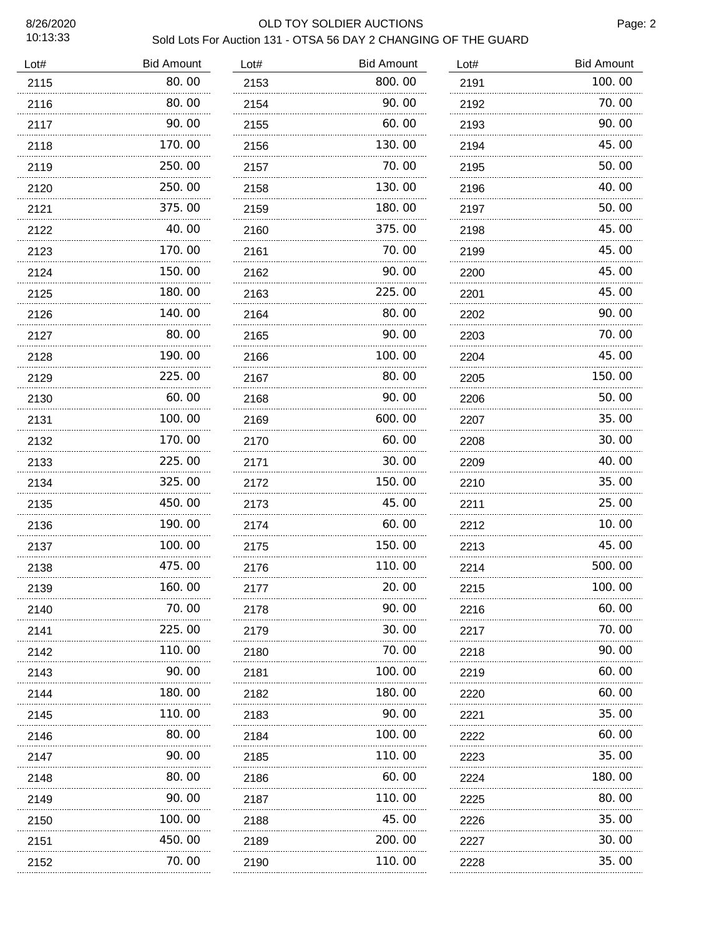## 8/26/2020 OLD TOY SOLDIER AUCTIONS Sold Lots For Auction 131 - OTSA 56 DAY 2 CHANGING OF THE GUARD

| Lot# | <b>Bid Amount</b> | Lot# | <b>Bid Amount</b> | Lot# | <b>Bid Amount</b> |
|------|-------------------|------|-------------------|------|-------------------|
| 2115 | 80.00             | 2153 | 800.00            | 2191 | 100.00            |
| 2116 | 80.00             | 2154 | 90.00             | 2192 | 70.00             |
| 2117 | 90.00             | 2155 | 60.00             | 2193 | 90.00             |
| 2118 | 170.00            | 2156 | 130.00            | 2194 | 45.00             |
| 2119 | 250.00            | 2157 | 70.00             | 2195 | 50.00             |
| 2120 | 250.00            | 2158 | 130.00            | 2196 | 40.00             |
| 2121 | 375.00            | 2159 | 180.00            | 2197 | 50.00             |
| 2122 | 40.00             | 2160 | 375.00            | 2198 | 45.00             |
| 2123 | 170.00            | 2161 | 70.00             | 2199 | 45.00             |
| 2124 | 150.00            | 2162 | 90.00             | 2200 | 45.00             |
| 2125 | 180.00            | 2163 | 225.00            | 2201 | 45.00             |
| 2126 | 140.00            | 2164 | 80.00             | 2202 | 90.00             |
| 2127 | 80.00             | 2165 | 90.00             | 2203 | 70.00             |
| 2128 | 190.00            | 2166 | 100.00            | 2204 | 45.00             |
| 2129 | 225.00            | 2167 | 80.00             | 2205 | 150.00            |
| 2130 | 60. 00            | 2168 | 90.00             | 2206 | 50.00             |
| 2131 | 100.00            | 2169 | 600. 00           | 2207 | 35.00             |
| 2132 | 170.00            | 2170 | 60.00             | 2208 | 30.00             |
| 2133 | 225.00            | 2171 | 30.00             | 2209 | 40.00             |
| 2134 | 325.00            | 2172 | 150.00            | 2210 | 35.00             |
| 2135 | 450.00            | 2173 | 45.00             | 2211 | 25.00             |
| 2136 | 190.00            | 2174 | 60.00             | 2212 | 10.00             |
| 2137 | 100.00            | 2175 | 150. 00           | 2213 | 45.00             |
| 2138 | 475.00            | 2176 | 110.00            | 2214 | 500.00            |
| 2139 | 160.00            | 2177 | 20.00             | 2215 | 100.00            |
| 2140 | 70. 00            | 2178 | 90. 00            | 2216 | 60.00             |
| 2141 | .<br>225.00       | 2179 | 30.00             | 2217 | 70.00             |
| 2142 | 110.00            | 2180 | 70.00             | 2218 | 90.00             |
| 2143 | 90.00             | 2181 | 100. 00           | 2219 | 60.00             |
| 2144 | 180.00            | 2182 | 180. 00           | 2220 | 60.00             |
| 2145 | 110.00            | 2183 | 90.00             | 2221 | 35.00             |
| 2146 | 80.00             | 2184 | 100. 00           | 2222 | 60.00             |
| 2147 | 90.00             | 2185 | 110.00            | 2223 | 35.00             |
| 2148 | 80.00             | 2186 | 60.00             | 2224 | 180.00            |
| 2149 | 90.00             | 2187 | 110. 00           | 2225 | 80.00             |
| 2150 | 100.00            | 2188 | 45.00             | 2226 | 35.00             |
| 2151 | 450.00            | 2189 | 200.00            | 2227 | 30.00             |
| 2152 | 70.00             | 2190 | 110.00            | 2228 | 35.00             |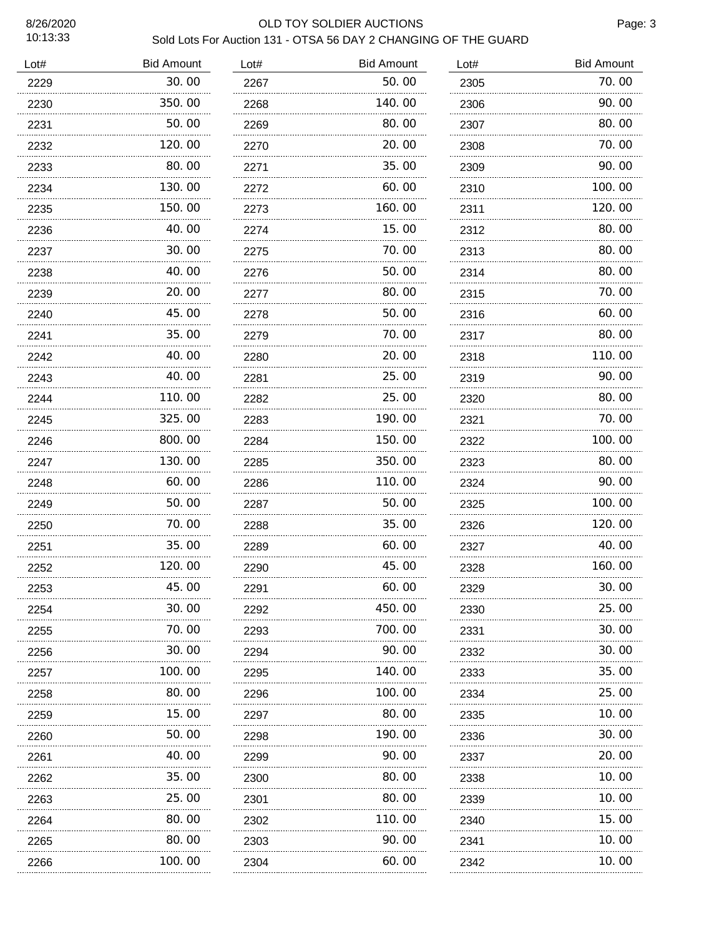# 8/26/2020 OLD TOY SOLDIER AUCTIONS

| Sold Lots For Auction 131 - OTSA 56 DAY 2 CHANGING OF THE GUARD |  |  |  |
|-----------------------------------------------------------------|--|--|--|
|                                                                 |  |  |  |

| Lot# | <b>Bid Amount</b> | Lot# | <b>Bid Amount</b> | Lot# | <b>Bid Amount</b> |
|------|-------------------|------|-------------------|------|-------------------|
| 2229 | 30.00             | 2267 | 50.00             | 2305 | 70.00             |
| 2230 | 350.00            | 2268 | 140.00            | 2306 | 90.00             |
| 2231 | 50.00             | 2269 | 80.00             | 2307 | 80.00             |
| 2232 | 120.00            | 2270 | 20.00             | 2308 | 70.00             |
| 2233 | 80.00             | 2271 | 35.00             | 2309 | 90.00             |
| 2234 | 130.00            | 2272 | 60.00             | 2310 | 100.00            |
| 2235 | 150.00            | 2273 | 160.00            | 2311 | 120.00            |
| 2236 | 40.00             | 2274 | 15.00             | 2312 | 80.00             |
| 2237 | 30.00             | 2275 | 70.00             | 2313 | 80.00             |
| 2238 | 40.00             | 2276 | 50.00             | 2314 | 80.00             |
| 2239 | 20.00             | 2277 | 80.00             | 2315 | 70.00             |
| 2240 | 45.00             | 2278 | 50.00             | 2316 | 60.00             |
| 2241 | 35.00             | 2279 | 70.00             | 2317 | 80.00             |
| 2242 | 40.00             | 2280 | 20.00             | 2318 | 110.00            |
| 2243 | 40.00             | 2281 | 25.00             | 2319 | 90.00             |
| 2244 | 110.00            | 2282 | 25.00             | 2320 | 80.00             |
| 2245 | 325.00            | 2283 | 190.00            | 2321 | 70.00             |
| 2246 | 800.00            | 2284 | 150.00            | 2322 | 100.00            |
| 2247 | 130.00            | 2285 | 350.00            | 2323 | 80.00             |
| 2248 | 60.00             | 2286 | 110. 00           | 2324 | 90.00             |
| 2249 | 50.00             | 2287 | 50.00             | 2325 | 100.00            |
| 2250 | 70.00             | 2288 | 35.00             | 2326 | 120.00            |
| 2251 | 35.00             | 2289 | 60.00             | 2327 | 40.00             |
| 2252 | 120.00            | 2290 | 45.00             | 2328 | 160.00            |
| 2253 | 45.00<br>         | 2291 | 60.00             | 2329 | 30.00             |
| 2254 | 30.00             | 2292 | 450.00            | 2330 | 25.00             |
| 2255 | 70. 00<br>.       | 2293 | 700. 00           | 2331 | 30. 00            |
| 2256 | 30.00             | 2294 | 90. 00            | 2332 | 30.00             |
| 2257 | 100. 00           | 2295 | 140.00            | 2333 | 35.00             |
| 2258 | 80.00             | 2296 | 100.00            | 2334 | 25.00             |
| 2259 | 15.00<br>.        | 2297 | 80.00             | 2335 | 10.00             |
| 2260 | 50.00             | 2298 | 190.00            | 2336 | 30.00             |
| 2261 | 40.00             | 2299 | 90.00             | 2337 | 20.00             |
| 2262 | 35.00             | 2300 | 80.00             | 2338 | 10.00             |
| 2263 | 25.00             | 2301 | 80.00             | 2339 | 10.00             |
| 2264 | 80.00             | 2302 | 110. 00           | 2340 | 15.00             |
| 2265 | 80.00             | 2303 | 90.00             | 2341 | 10.00             |
| 2266 | 100.00            | 2304 | 60.00             | 2342 | 10.00             |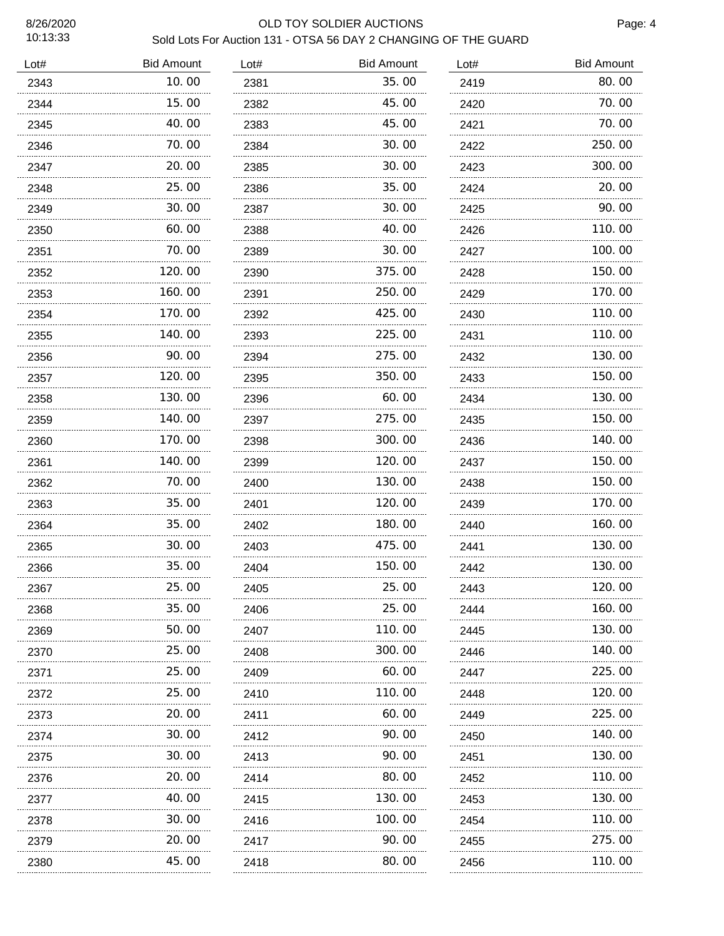### 8/26/2020 OLD TOY SOLDIER AUCTIONS Sold Lots For Auction 131 - OTSA 56 DAY 2 CHANGING OF THE GUARD

| Lot# | <b>Bid Amount</b> | Lot# | <b>Bid Amount</b> | Lot# | <b>Bid Amount</b> |
|------|-------------------|------|-------------------|------|-------------------|
| 2343 | 10.00             | 2381 | 35.00             | 2419 | 80.00             |
| 2344 | 15.00             | 2382 | 45.00             | 2420 | 70.00             |
| 2345 | 40.00             | 2383 | 45.00             | 2421 | 70.00             |
| 2346 | 70.00             | 2384 | 30.00             | 2422 | 250.00            |
| 2347 | 20.00             | 2385 | 30.00             | 2423 | 300.00            |
| 2348 | 25.00             | 2386 | 35.00             | 2424 | 20.00             |
| 2349 | 30. 00            | 2387 | 30. OO            | 2425 | 90.00             |
| 2350 | 60.00             | 2388 | 40.00             | 2426 | 110.00            |
| 2351 | 70.00             | 2389 | 30.00             | 2427 | 100.00            |
| 2352 | 120.00            | 2390 | 375.00            | 2428 | 150.00            |
| 2353 | 160.00            | 2391 | 250.00            | 2429 | 170.00            |
| 2354 | 170.00            | 2392 | 425.00            | 2430 | 110.00            |
| 2355 | 140.00            | 2393 | 225.00            | 2431 | 110.00            |
| 2356 | 90.00             | 2394 | 275.00            | 2432 | 130.00            |
| 2357 | 120.00            | 2395 | 350.00            | 2433 | 150.00            |
| 2358 | 130.00            | 2396 | 60.00             | 2434 | 130.00            |
| 2359 | 140.00            | 2397 | 275.00            | 2435 | 150.00            |
| 2360 | 170.00            | 2398 | 300.00            | 2436 | 140.00            |
| 2361 | 140.00            | 2399 | 120.00            | 2437 | 150.00            |
| 2362 | 70.00             | 2400 | 130.00            | 2438 | 150.00            |
| 2363 | 35.00             | 2401 | 120.00            | 2439 | 170.00            |
| 2364 | 35.00<br>.        | 2402 | 180.00            | 2440 | 160.00            |
| 2365 | 30.00             | 2403 | 475.00            | 2441 | 130.00            |
| 2366 | 35.00             | 2404 | 150.00            | 2442 | 130.00            |
| 2367 | 25.00             | 2405 | 25.00             | 2443 | 120.00            |
| 2368 | 35.00             | 2406 | 25.00             | 2444 | 160.00            |
| 2369 | 50. 00            | 2407 | 110. 00           | 2445 | 130.00            |
| 2370 | 25.00             | 2408 | 300. 00           | 2446 | 140.00            |
| 2371 | 25.00             | 2409 | 60. 00            | 2447 | 225.00            |
| 2372 | 25.00             | 2410 | 110. 00           | 2448 | 120.00            |
| 2373 | 20. 00            | 2411 | 60. 00            | 2449 | 225.00            |
| 2374 | 30.00             | 2412 | 90.00             | 2450 | 140.00            |
| 2375 | 30.00             | 2413 | 90.00             | 2451 | 130.00            |
| 2376 | 20.00             | 2414 | 80.00             | 2452 | 110.00            |
| 2377 | 40.00             | 2415 | 130. 00           | 2453 | 130.00            |
| 2378 | 30. 00            | 2416 | 100. 00           | 2454 | 110.00            |
| 2379 | 20. 00            | 2417 | 90. 00            | 2455 | 275.00            |
| 2380 | 45.00             | 2418 | 80.00             | 2456 | 110.00            |
|      |                   |      |                   |      |                   |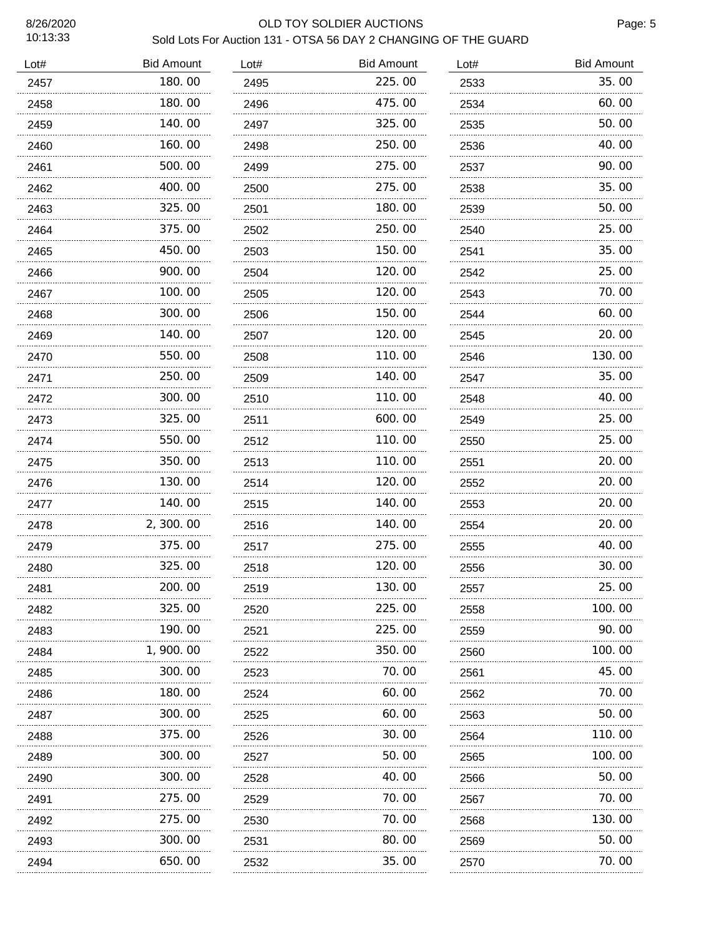age: 5

| 8/26/2020<br>10:13:33 | Sold Lots For Auction 131 - OTSA 56 DAY 2 CHANGING OF THE GUARD | Pa   |                   |      |                   |
|-----------------------|-----------------------------------------------------------------|------|-------------------|------|-------------------|
| Lot#                  | <b>Bid Amount</b>                                               | Lot# | <b>Bid Amount</b> | Lot# | <b>Bid Amount</b> |
| 2457                  | 180.00                                                          | 2495 | 225,00            | 2533 | 35.00             |
| 2458                  | 180.00                                                          | 2496 | 475.00            | 2534 | 60.00             |
| 2459                  | .<br>140.00                                                     | 2497 | 325.00            | 2535 | 50.00             |
| 2460                  | 160.00                                                          | 2498 | 250.00            | 2536 | 40.00             |
| 2461                  | 500, 00                                                         | 2499 | 275.00            | 2537 | 90.00             |
| 2462                  | 400.00                                                          | 2500 | 275.00            | 2538 | 35.00             |
| 2463                  | 325,00                                                          | 2501 | 180.00            | 2539 | 50.00             |
| 2464                  | 375.00                                                          | 2502 | 250.00            | 2540 | 25.00             |
| 2465                  | 450.00                                                          | 2503 | 150.00            | 2541 | 35.00             |
| 2466                  | 900.00                                                          | 2504 | 120.00            | 2542 | 25.00             |
| 2467                  | 100.00                                                          | 2505 | 120.00            | 2543 | 70.00             |
| 2468                  | 300.00                                                          | 2506 | 150.00            | 2544 | 60.00             |
| 2469                  | 140.00                                                          | 2507 | 120.00            | 2545 | 20.00             |
| 2470                  | 550.00                                                          | 2508 | 110.00            | 2546 | 130.00            |
| 2471                  | 250.00                                                          | 2509 | 140.00            | 2547 | 35.00             |
| 2472                  | 300.00                                                          | 2510 | 110. 00           | 2548 | 40.00             |
| 2473                  | 325.00                                                          | 2511 | 600. 00           | 2549 | 25.00             |
| 2474                  | 550.00                                                          | 2512 | 110. 00           | 2550 | 25.00             |
| 2475                  | 350.00                                                          | 2513 | 110. 00           | 2551 | 20.00             |
| 2476                  | 130.00                                                          | 2514 | 120.00            | 2552 | 20.00             |
| 2477                  | 140.00                                                          | 2515 | 140.00            | 2553 | 20.00             |
| 2478                  | 2, 300. 00                                                      | 2516 | 140.00            | 2554 | 20.00             |
| 2479                  | 375.00                                                          | 2517 | 275.00            | 2555 | 40.00             |
| 2480                  | 325.00                                                          | 2518 | 120.00            | 2556 | 30.00             |
| 2481                  | 200.00                                                          | 2519 | 130. 00           | 2557 | 25.00             |
| 2482                  | 325.00                                                          | 2520 | 225.00            | 2558 | 100.00            |
| 2483                  | 190.00                                                          | 2521 | 225.00            | 2559 | 90.00             |
| 2484                  | 1, 900. 00                                                      | 2522 | 350.00            | 2560 | 100.00            |
| 2485                  | 300.00                                                          | 2523 | 70. 00            | 2561 | 45.00             |
| 2486                  | 180.00                                                          | 2524 | 60.00             | 2562 | 70.00             |
| 2487                  | 300.00                                                          | 2525 | 60.00             | 2563 | 50.00             |
| 2488                  | 375.00                                                          | 2526 | 30.00             | 2564 | 110.00            |
| 2489                  | 300.00                                                          | 2527 | 50.00             | 2565 | 100.00            |
| 2490                  | 300.00<br>.                                                     | 2528 | 40.00<br>.        | 2566 | 50.00             |
| 2491                  | 275.00                                                          | 2529 | 70.00             | 2567 | 70.00             |
| 2492                  | 275.00                                                          | 2530 | 70. 00            | 2568 | 130.00            |
| 2493                  | 300.00                                                          | 2531 | 80.00             | 2569 | 50.00             |
| 2494                  | 650.00                                                          | 2532 | 35.00             | 2570 | 70.00             |

35.00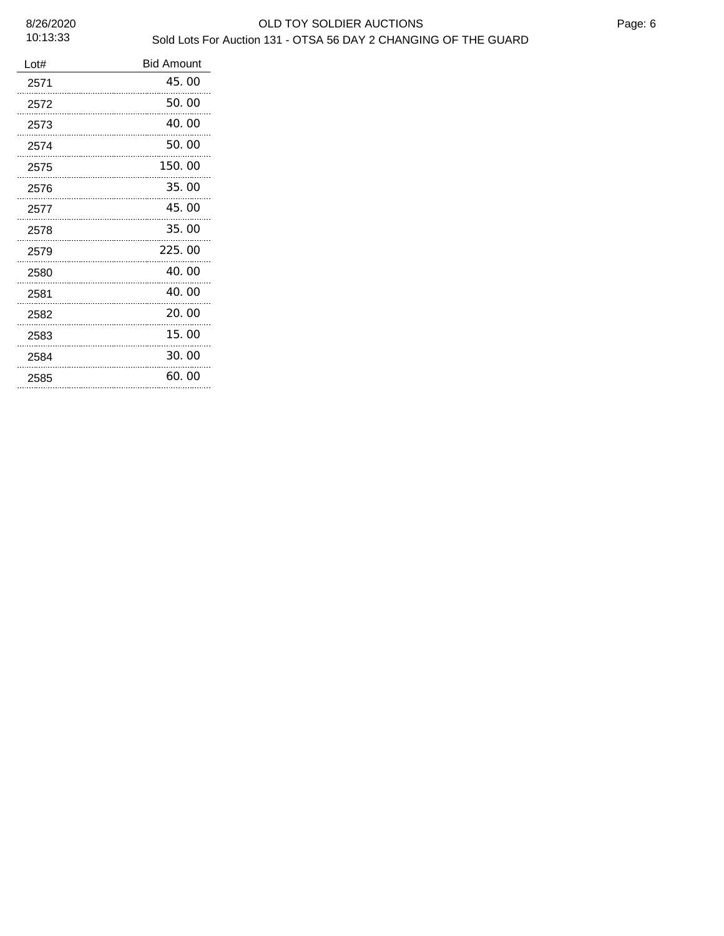| Lot# | <b>Bid Amount</b> |
|------|-------------------|
| 2571 | 45.00             |
| 2572 | 50.00             |
| 2573 | 40.00             |
| 2574 | 50.00             |
| 2575 | 150.00            |
| 2576 | 35.00             |
| 2577 | 45.00             |
| 2578 | 35.00             |
| 2579 | 225.00            |
| 2580 | 40.00             |
| 2581 | 40.00             |
| 2582 | 20.00             |
| 2583 | 15.00             |
| 2584 | 30.00             |
| 2585 | 60.00             |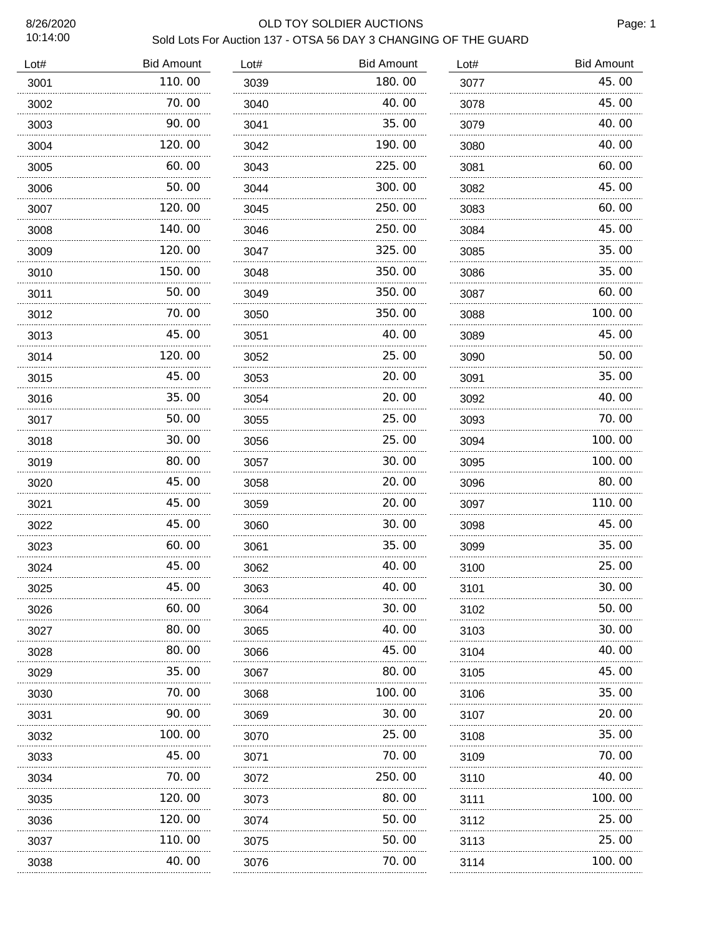# 8/26/2020 OLD TOY SOLDIER AUCTIONS Sold Lots For Auction 137 - OTSA 56 DAY 3 CHANGING OF THE GUARD

| Lot# | <b>Bid Amount</b> | Lot# | <b>Bid Amount</b> | Lot# | <b>Bid Amount</b> |
|------|-------------------|------|-------------------|------|-------------------|
| 3001 | 110.00            | 3039 | 180.00            | 3077 | 45.00             |
| 3002 | 70.00             | 3040 | 40.00             | 3078 | 45.00             |
| 3003 | 90.00             | 3041 | 35.00             | 3079 | 40.00             |
| 3004 | 120.00            | 3042 | 190.00            | 3080 | 40.00             |
| 3005 | 60.00             | 3043 | 225.00            | 3081 | 60.00             |
| 3006 | 50.00             | 3044 | 300.00            | 3082 | 45.00             |
| 3007 | 120.00            | 3045 | 250.00            | 3083 | 60.00             |
| 3008 | 140.00            | 3046 | 250.00            | 3084 | 45.00             |
| 3009 | 120.00            | 3047 | 325.00            | 3085 | 35.00             |
| 3010 | 150.00            | 3048 | 350.00            | 3086 | 35.00             |
| 3011 | 50.00             | 3049 | 350.00            | 3087 | 60.00             |
| 3012 | 70.00             | 3050 | 350.00            | 3088 | 100.00            |
| 3013 | 45.00             | 3051 | 40.00             | 3089 | 45.00             |
| 3014 | 120.00            | 3052 | 25.00             | 3090 | 50.00             |
| 3015 | 45.00             | 3053 | 20.00             | 3091 | 35.00             |
| 3016 | 35.00             | 3054 | 20.00             | 3092 | 40.00             |
| 3017 | 50.00             | 3055 | 25.00             | 3093 | 70.00             |
| 3018 | 30.00             | 3056 | 25.00             | 3094 | 100.00            |
| 3019 | 80.00             | 3057 | 30.00             | 3095 | 100.00            |
| 3020 | 45.00             | 3058 | 20.00             | 3096 | 80.00             |
| 3021 | 45.00             | 3059 | 20.00             | 3097 | 110.00            |
| 3022 | 45.00             | 3060 | 30.00             | 3098 | 45.00             |
| 3023 | 60.00             | 3061 | 35.00             | 3099 | 35.00             |
| 3024 | 45.00             | 3062 | 40.00             | 3100 | 25.00             |
| 3025 | 45.00             | 3063 | 40.00             | 3101 | 30.00             |
| 3026 | 60.00             | 3064 | 30. 00            | 3102 | 50.00             |
| 3027 | 80.00             | 3065 | 40.00             | 3103 | 30.00             |
| 3028 | 80.00             | 3066 | 45.00             | 3104 | 40.00             |
| 3029 | 35.00             | 3067 | 80.00             | 3105 | 45.00             |
| 3030 | 70.00             | 3068 | 100.00            | 3106 | 35.00             |
| 3031 | 90.00             | 3069 | 30.00             | 3107 | 20.00             |
| 3032 | 100.00            | 3070 | 25.00             | 3108 | 35.00             |
| 3033 | 45.00             | 3071 | 70.00             | 3109 | 70.00             |
| 3034 | 70.00             | 3072 | 250.00            | 3110 | 40.00             |
| 3035 | 120.00            | 3073 | 80.00             | 3111 | 100.00            |
| 3036 | 120.00            | 3074 | 50.00             | 3112 | 25.00             |
| 3037 | 110.00            | 3075 | 50.00             | 3113 | 25.00             |
| 3038 | 40.00             | 3076 | 70.00             | 3114 | 100.00            |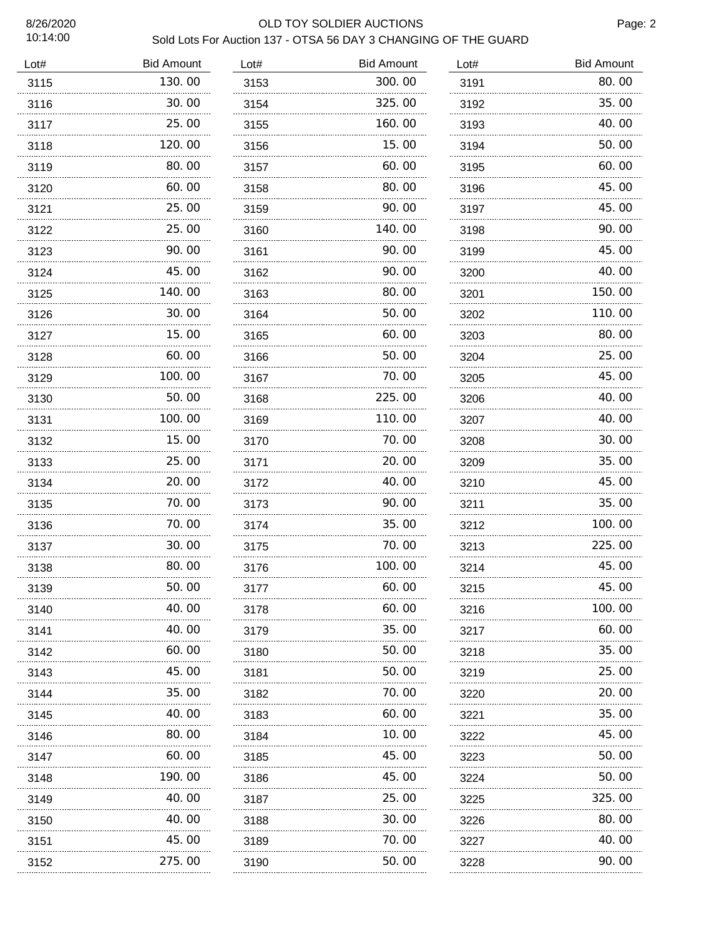# 8/26/2020 OLD TOY SOLDIER AUCTIONS

| Sold Lots For Auction 137 - OTSA 56 DAY 3 CHANGING OF THE GUARD |
|-----------------------------------------------------------------|
|-----------------------------------------------------------------|

| 80.00<br>130.00<br>300.00<br>3115<br>3153<br>3191<br>35.00<br>30.00<br>325.00<br>3116<br>3192<br>3154<br>25.00<br>160.00<br>40.00<br>3117<br>3155<br>3193<br>120.00<br>15.00<br>50.00<br>3118<br>3194<br>3156<br>60.00<br>80.00<br>60.00<br>3119<br>3195<br>3157<br>45.00<br>60.00<br>80.00<br>3120<br>3158<br>3196<br>45.00<br>25.00<br>90.00<br>3121<br>3197<br>3159<br>140.00<br>90.00<br>25.00<br>3122<br>3160<br>3198<br>90.00<br>45.00<br>90.00<br>3123<br>3161<br>3199<br>40.00<br>45.00<br>90. OO<br>3124<br>3162<br>3200<br>140.00<br>150.00<br>80.00<br>3125<br>3163<br>3201<br>110.00<br>30.00<br>50.00<br>3126<br>3164<br>3202<br>15.00<br>80.00<br>60.00<br>3127<br>3165<br>3203<br>25.00<br>60.00<br>50.00<br>3128<br>3166<br>3204<br>45.00<br>100.00<br>70.00<br>3129<br>3167<br>3205<br>50.00<br>225.00<br>40.00<br>3130<br>3168<br>3206<br>100.00<br>110.00<br>40.00<br>3131<br>3169<br>3207<br>15.00<br>70.00<br>30.00<br>3132<br>3170<br>3208<br>35.00<br>25.00<br>20.00<br>3133<br>3171<br>3209<br>20.00<br>45.00<br>40.00<br>3134<br>3172<br>3210<br>35.00<br>70.00<br>90.00<br>3135<br>3173<br>3211<br>70.00<br>35.00<br>100.00<br>3136<br>3174<br>3212<br>225.00<br>30.00<br>70.00<br>3137<br>3175<br>3213<br>80.00<br>100.00<br>45.00<br>3138<br>3176<br>3214<br>3139<br>50. OO<br>3177<br>60. 00<br>3215<br>45.00<br>40.00<br>60. 00<br>100. 00<br>3140<br>3178<br>3216<br>40.00<br>35.00<br>60.00<br>3179<br>3217<br>3141<br>35.00<br>60.00<br>50.00<br>3142<br>3180<br>3218<br>25.00<br>45.00<br>50.00<br>3143<br>3181<br>3219<br>.<br>35.00<br>70.00<br>20.00<br>3144<br>3182<br>3220<br>35.00<br>40.00<br>60.00<br>3183<br>3145<br>3221<br>.<br>80.00<br>10.00<br>45.00<br>3146<br>3222<br>3184<br>45.00<br>60.00<br>50.00<br>3147<br>3185<br>3223<br>.<br>190.00<br>45.00<br>50.00<br>3148<br>3186<br>3224<br>40.00<br>25.00<br>325.00<br>3149<br>3187<br>3225<br>30.00<br>80.00<br>40.00<br>3150<br>3188<br>3226<br>45.00<br>70.00<br>40.00<br>3151<br>3189<br>3227<br>.<br>275.00<br>50.00<br>90.00<br>3152<br>3190<br>3228 | Lot# | <b>Bid Amount</b> | Lot# | <b>Bid Amount</b> | Lot# | <b>Bid Amount</b> |
|-------------------------------------------------------------------------------------------------------------------------------------------------------------------------------------------------------------------------------------------------------------------------------------------------------------------------------------------------------------------------------------------------------------------------------------------------------------------------------------------------------------------------------------------------------------------------------------------------------------------------------------------------------------------------------------------------------------------------------------------------------------------------------------------------------------------------------------------------------------------------------------------------------------------------------------------------------------------------------------------------------------------------------------------------------------------------------------------------------------------------------------------------------------------------------------------------------------------------------------------------------------------------------------------------------------------------------------------------------------------------------------------------------------------------------------------------------------------------------------------------------------------------------------------------------------------------------------------------------------------------------------------------------------------------------------------------------------------------------------------------------------------------------------------------------------------------------------------------------------------------------------------------------------------------------------------------------------------------------------------------------------------------------------------------------------|------|-------------------|------|-------------------|------|-------------------|
|                                                                                                                                                                                                                                                                                                                                                                                                                                                                                                                                                                                                                                                                                                                                                                                                                                                                                                                                                                                                                                                                                                                                                                                                                                                                                                                                                                                                                                                                                                                                                                                                                                                                                                                                                                                                                                                                                                                                                                                                                                                             |      |                   |      |                   |      |                   |
|                                                                                                                                                                                                                                                                                                                                                                                                                                                                                                                                                                                                                                                                                                                                                                                                                                                                                                                                                                                                                                                                                                                                                                                                                                                                                                                                                                                                                                                                                                                                                                                                                                                                                                                                                                                                                                                                                                                                                                                                                                                             |      |                   |      |                   |      |                   |
|                                                                                                                                                                                                                                                                                                                                                                                                                                                                                                                                                                                                                                                                                                                                                                                                                                                                                                                                                                                                                                                                                                                                                                                                                                                                                                                                                                                                                                                                                                                                                                                                                                                                                                                                                                                                                                                                                                                                                                                                                                                             |      |                   |      |                   |      |                   |
|                                                                                                                                                                                                                                                                                                                                                                                                                                                                                                                                                                                                                                                                                                                                                                                                                                                                                                                                                                                                                                                                                                                                                                                                                                                                                                                                                                                                                                                                                                                                                                                                                                                                                                                                                                                                                                                                                                                                                                                                                                                             |      |                   |      |                   |      |                   |
|                                                                                                                                                                                                                                                                                                                                                                                                                                                                                                                                                                                                                                                                                                                                                                                                                                                                                                                                                                                                                                                                                                                                                                                                                                                                                                                                                                                                                                                                                                                                                                                                                                                                                                                                                                                                                                                                                                                                                                                                                                                             |      |                   |      |                   |      |                   |
|                                                                                                                                                                                                                                                                                                                                                                                                                                                                                                                                                                                                                                                                                                                                                                                                                                                                                                                                                                                                                                                                                                                                                                                                                                                                                                                                                                                                                                                                                                                                                                                                                                                                                                                                                                                                                                                                                                                                                                                                                                                             |      |                   |      |                   |      |                   |
|                                                                                                                                                                                                                                                                                                                                                                                                                                                                                                                                                                                                                                                                                                                                                                                                                                                                                                                                                                                                                                                                                                                                                                                                                                                                                                                                                                                                                                                                                                                                                                                                                                                                                                                                                                                                                                                                                                                                                                                                                                                             |      |                   |      |                   |      |                   |
|                                                                                                                                                                                                                                                                                                                                                                                                                                                                                                                                                                                                                                                                                                                                                                                                                                                                                                                                                                                                                                                                                                                                                                                                                                                                                                                                                                                                                                                                                                                                                                                                                                                                                                                                                                                                                                                                                                                                                                                                                                                             |      |                   |      |                   |      |                   |
|                                                                                                                                                                                                                                                                                                                                                                                                                                                                                                                                                                                                                                                                                                                                                                                                                                                                                                                                                                                                                                                                                                                                                                                                                                                                                                                                                                                                                                                                                                                                                                                                                                                                                                                                                                                                                                                                                                                                                                                                                                                             |      |                   |      |                   |      |                   |
|                                                                                                                                                                                                                                                                                                                                                                                                                                                                                                                                                                                                                                                                                                                                                                                                                                                                                                                                                                                                                                                                                                                                                                                                                                                                                                                                                                                                                                                                                                                                                                                                                                                                                                                                                                                                                                                                                                                                                                                                                                                             |      |                   |      |                   |      |                   |
|                                                                                                                                                                                                                                                                                                                                                                                                                                                                                                                                                                                                                                                                                                                                                                                                                                                                                                                                                                                                                                                                                                                                                                                                                                                                                                                                                                                                                                                                                                                                                                                                                                                                                                                                                                                                                                                                                                                                                                                                                                                             |      |                   |      |                   |      |                   |
|                                                                                                                                                                                                                                                                                                                                                                                                                                                                                                                                                                                                                                                                                                                                                                                                                                                                                                                                                                                                                                                                                                                                                                                                                                                                                                                                                                                                                                                                                                                                                                                                                                                                                                                                                                                                                                                                                                                                                                                                                                                             |      |                   |      |                   |      |                   |
|                                                                                                                                                                                                                                                                                                                                                                                                                                                                                                                                                                                                                                                                                                                                                                                                                                                                                                                                                                                                                                                                                                                                                                                                                                                                                                                                                                                                                                                                                                                                                                                                                                                                                                                                                                                                                                                                                                                                                                                                                                                             |      |                   |      |                   |      |                   |
|                                                                                                                                                                                                                                                                                                                                                                                                                                                                                                                                                                                                                                                                                                                                                                                                                                                                                                                                                                                                                                                                                                                                                                                                                                                                                                                                                                                                                                                                                                                                                                                                                                                                                                                                                                                                                                                                                                                                                                                                                                                             |      |                   |      |                   |      |                   |
|                                                                                                                                                                                                                                                                                                                                                                                                                                                                                                                                                                                                                                                                                                                                                                                                                                                                                                                                                                                                                                                                                                                                                                                                                                                                                                                                                                                                                                                                                                                                                                                                                                                                                                                                                                                                                                                                                                                                                                                                                                                             |      |                   |      |                   |      |                   |
|                                                                                                                                                                                                                                                                                                                                                                                                                                                                                                                                                                                                                                                                                                                                                                                                                                                                                                                                                                                                                                                                                                                                                                                                                                                                                                                                                                                                                                                                                                                                                                                                                                                                                                                                                                                                                                                                                                                                                                                                                                                             |      |                   |      |                   |      |                   |
|                                                                                                                                                                                                                                                                                                                                                                                                                                                                                                                                                                                                                                                                                                                                                                                                                                                                                                                                                                                                                                                                                                                                                                                                                                                                                                                                                                                                                                                                                                                                                                                                                                                                                                                                                                                                                                                                                                                                                                                                                                                             |      |                   |      |                   |      |                   |
|                                                                                                                                                                                                                                                                                                                                                                                                                                                                                                                                                                                                                                                                                                                                                                                                                                                                                                                                                                                                                                                                                                                                                                                                                                                                                                                                                                                                                                                                                                                                                                                                                                                                                                                                                                                                                                                                                                                                                                                                                                                             |      |                   |      |                   |      |                   |
|                                                                                                                                                                                                                                                                                                                                                                                                                                                                                                                                                                                                                                                                                                                                                                                                                                                                                                                                                                                                                                                                                                                                                                                                                                                                                                                                                                                                                                                                                                                                                                                                                                                                                                                                                                                                                                                                                                                                                                                                                                                             |      |                   |      |                   |      |                   |
|                                                                                                                                                                                                                                                                                                                                                                                                                                                                                                                                                                                                                                                                                                                                                                                                                                                                                                                                                                                                                                                                                                                                                                                                                                                                                                                                                                                                                                                                                                                                                                                                                                                                                                                                                                                                                                                                                                                                                                                                                                                             |      |                   |      |                   |      |                   |
|                                                                                                                                                                                                                                                                                                                                                                                                                                                                                                                                                                                                                                                                                                                                                                                                                                                                                                                                                                                                                                                                                                                                                                                                                                                                                                                                                                                                                                                                                                                                                                                                                                                                                                                                                                                                                                                                                                                                                                                                                                                             |      |                   |      |                   |      |                   |
|                                                                                                                                                                                                                                                                                                                                                                                                                                                                                                                                                                                                                                                                                                                                                                                                                                                                                                                                                                                                                                                                                                                                                                                                                                                                                                                                                                                                                                                                                                                                                                                                                                                                                                                                                                                                                                                                                                                                                                                                                                                             |      |                   |      |                   |      |                   |
|                                                                                                                                                                                                                                                                                                                                                                                                                                                                                                                                                                                                                                                                                                                                                                                                                                                                                                                                                                                                                                                                                                                                                                                                                                                                                                                                                                                                                                                                                                                                                                                                                                                                                                                                                                                                                                                                                                                                                                                                                                                             |      |                   |      |                   |      |                   |
|                                                                                                                                                                                                                                                                                                                                                                                                                                                                                                                                                                                                                                                                                                                                                                                                                                                                                                                                                                                                                                                                                                                                                                                                                                                                                                                                                                                                                                                                                                                                                                                                                                                                                                                                                                                                                                                                                                                                                                                                                                                             |      |                   |      |                   |      |                   |
|                                                                                                                                                                                                                                                                                                                                                                                                                                                                                                                                                                                                                                                                                                                                                                                                                                                                                                                                                                                                                                                                                                                                                                                                                                                                                                                                                                                                                                                                                                                                                                                                                                                                                                                                                                                                                                                                                                                                                                                                                                                             |      |                   |      |                   |      |                   |
|                                                                                                                                                                                                                                                                                                                                                                                                                                                                                                                                                                                                                                                                                                                                                                                                                                                                                                                                                                                                                                                                                                                                                                                                                                                                                                                                                                                                                                                                                                                                                                                                                                                                                                                                                                                                                                                                                                                                                                                                                                                             |      |                   |      |                   |      |                   |
|                                                                                                                                                                                                                                                                                                                                                                                                                                                                                                                                                                                                                                                                                                                                                                                                                                                                                                                                                                                                                                                                                                                                                                                                                                                                                                                                                                                                                                                                                                                                                                                                                                                                                                                                                                                                                                                                                                                                                                                                                                                             |      |                   |      |                   |      |                   |
|                                                                                                                                                                                                                                                                                                                                                                                                                                                                                                                                                                                                                                                                                                                                                                                                                                                                                                                                                                                                                                                                                                                                                                                                                                                                                                                                                                                                                                                                                                                                                                                                                                                                                                                                                                                                                                                                                                                                                                                                                                                             |      |                   |      |                   |      |                   |
|                                                                                                                                                                                                                                                                                                                                                                                                                                                                                                                                                                                                                                                                                                                                                                                                                                                                                                                                                                                                                                                                                                                                                                                                                                                                                                                                                                                                                                                                                                                                                                                                                                                                                                                                                                                                                                                                                                                                                                                                                                                             |      |                   |      |                   |      |                   |
|                                                                                                                                                                                                                                                                                                                                                                                                                                                                                                                                                                                                                                                                                                                                                                                                                                                                                                                                                                                                                                                                                                                                                                                                                                                                                                                                                                                                                                                                                                                                                                                                                                                                                                                                                                                                                                                                                                                                                                                                                                                             |      |                   |      |                   |      |                   |
|                                                                                                                                                                                                                                                                                                                                                                                                                                                                                                                                                                                                                                                                                                                                                                                                                                                                                                                                                                                                                                                                                                                                                                                                                                                                                                                                                                                                                                                                                                                                                                                                                                                                                                                                                                                                                                                                                                                                                                                                                                                             |      |                   |      |                   |      |                   |
|                                                                                                                                                                                                                                                                                                                                                                                                                                                                                                                                                                                                                                                                                                                                                                                                                                                                                                                                                                                                                                                                                                                                                                                                                                                                                                                                                                                                                                                                                                                                                                                                                                                                                                                                                                                                                                                                                                                                                                                                                                                             |      |                   |      |                   |      |                   |
|                                                                                                                                                                                                                                                                                                                                                                                                                                                                                                                                                                                                                                                                                                                                                                                                                                                                                                                                                                                                                                                                                                                                                                                                                                                                                                                                                                                                                                                                                                                                                                                                                                                                                                                                                                                                                                                                                                                                                                                                                                                             |      |                   |      |                   |      |                   |
|                                                                                                                                                                                                                                                                                                                                                                                                                                                                                                                                                                                                                                                                                                                                                                                                                                                                                                                                                                                                                                                                                                                                                                                                                                                                                                                                                                                                                                                                                                                                                                                                                                                                                                                                                                                                                                                                                                                                                                                                                                                             |      |                   |      |                   |      |                   |
|                                                                                                                                                                                                                                                                                                                                                                                                                                                                                                                                                                                                                                                                                                                                                                                                                                                                                                                                                                                                                                                                                                                                                                                                                                                                                                                                                                                                                                                                                                                                                                                                                                                                                                                                                                                                                                                                                                                                                                                                                                                             |      |                   |      |                   |      |                   |
|                                                                                                                                                                                                                                                                                                                                                                                                                                                                                                                                                                                                                                                                                                                                                                                                                                                                                                                                                                                                                                                                                                                                                                                                                                                                                                                                                                                                                                                                                                                                                                                                                                                                                                                                                                                                                                                                                                                                                                                                                                                             |      |                   |      |                   |      |                   |
|                                                                                                                                                                                                                                                                                                                                                                                                                                                                                                                                                                                                                                                                                                                                                                                                                                                                                                                                                                                                                                                                                                                                                                                                                                                                                                                                                                                                                                                                                                                                                                                                                                                                                                                                                                                                                                                                                                                                                                                                                                                             |      |                   |      |                   |      |                   |
|                                                                                                                                                                                                                                                                                                                                                                                                                                                                                                                                                                                                                                                                                                                                                                                                                                                                                                                                                                                                                                                                                                                                                                                                                                                                                                                                                                                                                                                                                                                                                                                                                                                                                                                                                                                                                                                                                                                                                                                                                                                             |      |                   |      |                   |      |                   |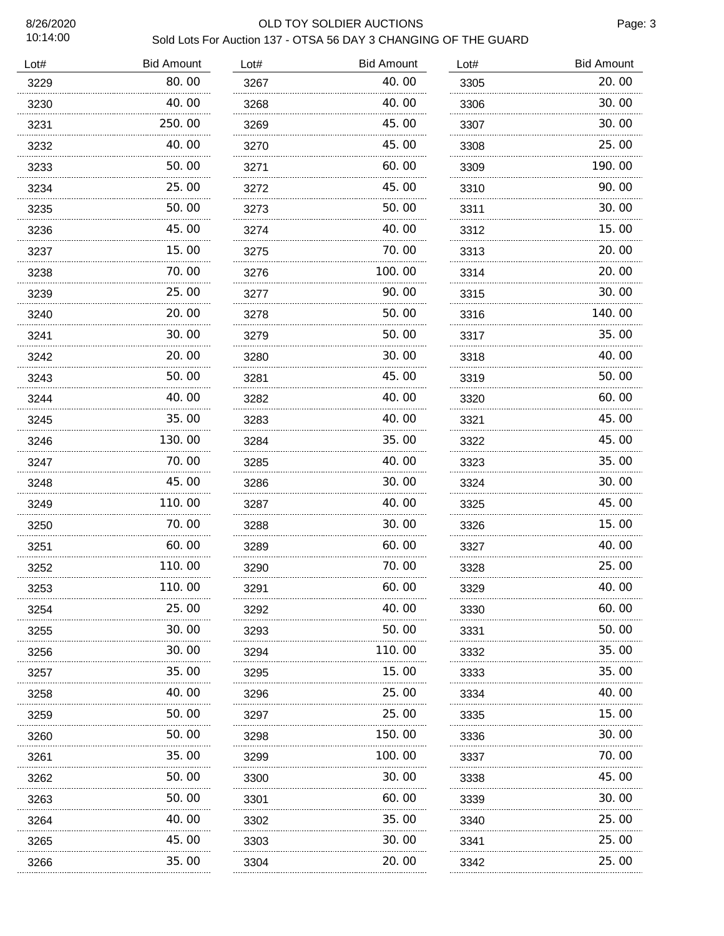### 8/26/2020 OLD TOY SOLDIER AUCTIONS Sold Lots For Auction 137 - OTSA 56 DAY 3 CHANGING OF THE GUARD

| Lot# | <b>Bid Amount</b> | Lot# | <b>Bid Amount</b> | Lot# | <b>Bid Amount</b> |
|------|-------------------|------|-------------------|------|-------------------|
| 3229 | 80.00             | 3267 | 40.00             | 3305 | 20.00             |
| 3230 | 40.00             | 3268 | 40.00             | 3306 | 30.00             |
| 3231 | 250.00            | 3269 | 45.00             | 3307 | 30.00             |
| 3232 | 40.00             | 3270 | 45.00             | 3308 | 25.00             |
| 3233 | 50.00             | 3271 | 60.00             | 3309 | 190.00            |
| 3234 | 25.00             | 3272 | 45.00             | 3310 | 90.00             |
| 3235 | 50.00             | 3273 | 50.00             | 3311 | 30.00             |
| 3236 | 45.00             | 3274 | 40.00             | 3312 | 15.00             |
| 3237 | 15.00             | 3275 | 70.00             | 3313 | 20.00             |
| 3238 | 70.00             | 3276 | 100.00            | 3314 | 20.00             |
| 3239 | 25.00             | 3277 | 90.00             | 3315 | 30.00             |
| 3240 | 20.00             | 3278 | 50.00             | 3316 | 140.00            |
| 3241 | 30.00             | 3279 | 50.00             | 3317 | 35.00             |
| 3242 | 20.00             | 3280 | 30.00             | 3318 | 40.00             |
| 3243 | 50.00             | 3281 | 45.00             | 3319 | 50.00             |
| 3244 | 40.00             | 3282 | 40.00             | 3320 | 60.00             |
| 3245 | 35.00             | 3283 | 40.00             | 3321 | 45.00             |
| 3246 | 130.00            | 3284 | 35.00             | 3322 | 45.00             |
| 3247 | 70.00             | 3285 | 40.00             | 3323 | 35.00             |
| 3248 | 45.00             | 3286 | 30.00             | 3324 | 30.00             |
| 3249 | 110.00            | 3287 | 40.00             | 3325 | 45.00             |
| 3250 | 70.00             | 3288 | 30.00             | 3326 | 15.00             |
| 3251 | 60.00             | 3289 | 60.00             | 3327 | 40.00             |
| 3252 | 110.00            | 3290 | 70.00             | 3328 | 25.00             |
| 3253 | 110.00            | 3291 | 60.00             | 3329 | 40.00             |
| 3254 | 25.00             | 3292 | 40.00             | 3330 | 60.00             |
| 3255 | 30.00             | 3293 | 50. 00            | 3331 | 50.00             |
| 3256 | 30.00             | 3294 | 110. 00           | 3332 | 35.00             |
| 3257 | 35.00             | 3295 | 15. 00            | 3333 | 35.00             |
| 3258 | 40.00             | 3296 | 25.00             | 3334 | 40.00             |
| 3259 | 50.00             | 3297 | 25.00             | 3335 | 15.00             |
| 3260 | 50.00             | 3298 | 150.00            | 3336 | 30.00             |
| 3261 | 35.00             | 3299 | 100.00            | 3337 | 70.00             |
| 3262 | 50.00             | 3300 | 30.00             | 3338 | 45.00             |
| 3263 | 50.00             | 3301 | 60.00             | 3339 | 30.00             |
| 3264 | 40.00             | 3302 | 35.00             | 3340 | 25.00             |
| 3265 | 45.00             | 3303 | 30.00             | 3341 | 25.00             |
| 3266 | 35.00             | 3304 | 20.00             | 3342 | 25.00             |
|      | .                 |      | .                 |      |                   |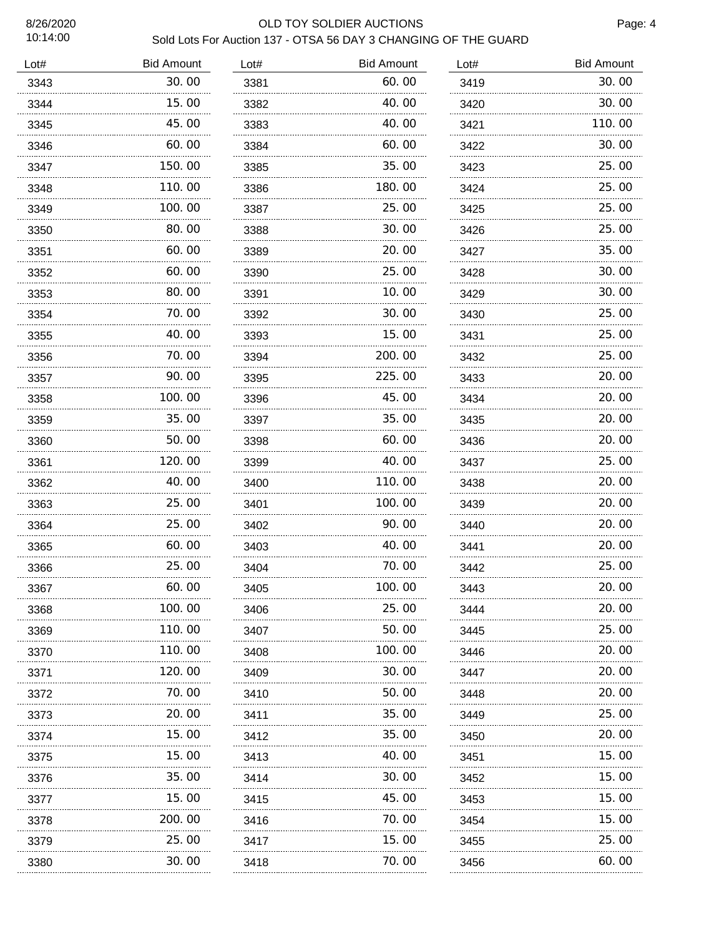# 8/26/2020 OLD TOY SOLDIER AUCTIONS

| Sold Lots For Auction 137 - OTSA 56 DAY 3 CHANGING OF THE GUARD |
|-----------------------------------------------------------------|
|-----------------------------------------------------------------|

| 30.00<br>60.00<br>3343<br>3381<br>3419<br>15.00<br>40.00<br>3344<br>3382<br>3420<br>45.00<br>40.00<br>3345<br>3383<br>3421<br>60.00<br>60.00<br>3346<br>3384<br>3422<br>150.00<br>35.00<br>3347<br>3385<br>3423<br>180.00<br>110.00<br>3348<br>3386<br>3424<br>100.00<br>25.00<br>3349<br>3387<br>3425<br>80.00<br>30.00<br>3350<br>3388<br>3426<br>20.00<br>60.00<br>3351<br>3389<br>3427<br>60.00<br>25.00<br>3352<br>3390<br>3428<br>80.00<br>10.00<br>3353<br>3391<br>3429<br>70.00<br>30.00<br>3392<br>3354<br>3430<br>40.00<br>15.00<br>3393<br>3355<br>3431<br>70.00<br>200.00<br>3356<br>3394<br>3432<br>90.00<br>225.00<br>3357<br>3395<br>3433<br>100.00<br>45.00<br>3358<br>3396<br>3434<br>35.00<br>35.00<br>3359<br>3397<br>3435<br>50.00<br>60.00<br>3360<br>3398<br>3436<br>120.00<br>40.00<br>3361<br>3399<br>3437<br>40.00<br>110.00<br>3362<br>3400<br>3438<br>25.00<br>100.00<br>3363<br>3401<br>3439<br>25.00<br>90.00<br>3364<br>3402<br>3440<br>60.00<br>40.00<br>3365<br>3403<br>3441<br>25.00<br>70.00<br>3366<br>3404<br>3442<br>3367<br>60. OO<br>3405<br>100. 00<br>3443<br>.<br>100.00<br>25.00<br>3368<br>3406<br>3444<br>110.00<br>50.00<br>3369<br>3407<br>3445<br>.<br>110.00<br>100.00<br>3370<br>3408<br>3446<br>120.00<br>30.00<br>3371<br>3409<br>3447<br>.<br>.<br>70.00<br>50.00<br>3372<br>3410<br>3448<br>20.00<br>35.00<br>3373<br>3411<br>3449<br>.<br>15.00<br>35.00<br>3374<br>3412<br>3450<br>15.00<br>40.00<br>3375<br>3413<br>3451<br>.<br>35.00<br>30.00<br>3376<br>3452<br>3414<br>15.00<br>45.00<br>3377<br>3415<br>3453<br>. | Lot# | <b>Bid Amount</b> | Lot# | <b>Bid Amount</b> | Lot# | <b>Bid Amount</b> |
|---------------------------------------------------------------------------------------------------------------------------------------------------------------------------------------------------------------------------------------------------------------------------------------------------------------------------------------------------------------------------------------------------------------------------------------------------------------------------------------------------------------------------------------------------------------------------------------------------------------------------------------------------------------------------------------------------------------------------------------------------------------------------------------------------------------------------------------------------------------------------------------------------------------------------------------------------------------------------------------------------------------------------------------------------------------------------------------------------------------------------------------------------------------------------------------------------------------------------------------------------------------------------------------------------------------------------------------------------------------------------------------------------------------------------------------------------------------------------------------------------------------------------------------------------------------------------------|------|-------------------|------|-------------------|------|-------------------|
|                                                                                                                                                                                                                                                                                                                                                                                                                                                                                                                                                                                                                                                                                                                                                                                                                                                                                                                                                                                                                                                                                                                                                                                                                                                                                                                                                                                                                                                                                                                                                                                 |      |                   |      |                   |      | 30.00             |
|                                                                                                                                                                                                                                                                                                                                                                                                                                                                                                                                                                                                                                                                                                                                                                                                                                                                                                                                                                                                                                                                                                                                                                                                                                                                                                                                                                                                                                                                                                                                                                                 |      |                   |      |                   |      | 30.00             |
|                                                                                                                                                                                                                                                                                                                                                                                                                                                                                                                                                                                                                                                                                                                                                                                                                                                                                                                                                                                                                                                                                                                                                                                                                                                                                                                                                                                                                                                                                                                                                                                 |      |                   |      |                   |      | 110.00            |
|                                                                                                                                                                                                                                                                                                                                                                                                                                                                                                                                                                                                                                                                                                                                                                                                                                                                                                                                                                                                                                                                                                                                                                                                                                                                                                                                                                                                                                                                                                                                                                                 |      |                   |      |                   |      | 30.00             |
|                                                                                                                                                                                                                                                                                                                                                                                                                                                                                                                                                                                                                                                                                                                                                                                                                                                                                                                                                                                                                                                                                                                                                                                                                                                                                                                                                                                                                                                                                                                                                                                 |      |                   |      |                   |      | 25.00             |
|                                                                                                                                                                                                                                                                                                                                                                                                                                                                                                                                                                                                                                                                                                                                                                                                                                                                                                                                                                                                                                                                                                                                                                                                                                                                                                                                                                                                                                                                                                                                                                                 |      |                   |      |                   |      | 25.00             |
|                                                                                                                                                                                                                                                                                                                                                                                                                                                                                                                                                                                                                                                                                                                                                                                                                                                                                                                                                                                                                                                                                                                                                                                                                                                                                                                                                                                                                                                                                                                                                                                 |      |                   |      |                   |      | 25.00             |
|                                                                                                                                                                                                                                                                                                                                                                                                                                                                                                                                                                                                                                                                                                                                                                                                                                                                                                                                                                                                                                                                                                                                                                                                                                                                                                                                                                                                                                                                                                                                                                                 |      |                   |      |                   |      | 25.00             |
|                                                                                                                                                                                                                                                                                                                                                                                                                                                                                                                                                                                                                                                                                                                                                                                                                                                                                                                                                                                                                                                                                                                                                                                                                                                                                                                                                                                                                                                                                                                                                                                 |      |                   |      |                   |      | 35.00             |
|                                                                                                                                                                                                                                                                                                                                                                                                                                                                                                                                                                                                                                                                                                                                                                                                                                                                                                                                                                                                                                                                                                                                                                                                                                                                                                                                                                                                                                                                                                                                                                                 |      |                   |      |                   |      | 30.00             |
|                                                                                                                                                                                                                                                                                                                                                                                                                                                                                                                                                                                                                                                                                                                                                                                                                                                                                                                                                                                                                                                                                                                                                                                                                                                                                                                                                                                                                                                                                                                                                                                 |      |                   |      |                   |      | 30.00             |
|                                                                                                                                                                                                                                                                                                                                                                                                                                                                                                                                                                                                                                                                                                                                                                                                                                                                                                                                                                                                                                                                                                                                                                                                                                                                                                                                                                                                                                                                                                                                                                                 |      |                   |      |                   |      | 25.00             |
|                                                                                                                                                                                                                                                                                                                                                                                                                                                                                                                                                                                                                                                                                                                                                                                                                                                                                                                                                                                                                                                                                                                                                                                                                                                                                                                                                                                                                                                                                                                                                                                 |      |                   |      |                   |      | 25.00             |
|                                                                                                                                                                                                                                                                                                                                                                                                                                                                                                                                                                                                                                                                                                                                                                                                                                                                                                                                                                                                                                                                                                                                                                                                                                                                                                                                                                                                                                                                                                                                                                                 |      |                   |      |                   |      | 25.00             |
|                                                                                                                                                                                                                                                                                                                                                                                                                                                                                                                                                                                                                                                                                                                                                                                                                                                                                                                                                                                                                                                                                                                                                                                                                                                                                                                                                                                                                                                                                                                                                                                 |      |                   |      |                   |      | 20.00             |
|                                                                                                                                                                                                                                                                                                                                                                                                                                                                                                                                                                                                                                                                                                                                                                                                                                                                                                                                                                                                                                                                                                                                                                                                                                                                                                                                                                                                                                                                                                                                                                                 |      |                   |      |                   |      | 20.00             |
|                                                                                                                                                                                                                                                                                                                                                                                                                                                                                                                                                                                                                                                                                                                                                                                                                                                                                                                                                                                                                                                                                                                                                                                                                                                                                                                                                                                                                                                                                                                                                                                 |      |                   |      |                   |      | 20.00             |
|                                                                                                                                                                                                                                                                                                                                                                                                                                                                                                                                                                                                                                                                                                                                                                                                                                                                                                                                                                                                                                                                                                                                                                                                                                                                                                                                                                                                                                                                                                                                                                                 |      |                   |      |                   |      | 20.00             |
|                                                                                                                                                                                                                                                                                                                                                                                                                                                                                                                                                                                                                                                                                                                                                                                                                                                                                                                                                                                                                                                                                                                                                                                                                                                                                                                                                                                                                                                                                                                                                                                 |      |                   |      |                   |      | 25.00             |
|                                                                                                                                                                                                                                                                                                                                                                                                                                                                                                                                                                                                                                                                                                                                                                                                                                                                                                                                                                                                                                                                                                                                                                                                                                                                                                                                                                                                                                                                                                                                                                                 |      |                   |      |                   |      | 20.00             |
|                                                                                                                                                                                                                                                                                                                                                                                                                                                                                                                                                                                                                                                                                                                                                                                                                                                                                                                                                                                                                                                                                                                                                                                                                                                                                                                                                                                                                                                                                                                                                                                 |      |                   |      |                   |      | 20.00             |
|                                                                                                                                                                                                                                                                                                                                                                                                                                                                                                                                                                                                                                                                                                                                                                                                                                                                                                                                                                                                                                                                                                                                                                                                                                                                                                                                                                                                                                                                                                                                                                                 |      |                   |      |                   |      | 20.00             |
|                                                                                                                                                                                                                                                                                                                                                                                                                                                                                                                                                                                                                                                                                                                                                                                                                                                                                                                                                                                                                                                                                                                                                                                                                                                                                                                                                                                                                                                                                                                                                                                 |      |                   |      |                   |      | 20.00             |
|                                                                                                                                                                                                                                                                                                                                                                                                                                                                                                                                                                                                                                                                                                                                                                                                                                                                                                                                                                                                                                                                                                                                                                                                                                                                                                                                                                                                                                                                                                                                                                                 |      |                   |      |                   |      | 25.00             |
|                                                                                                                                                                                                                                                                                                                                                                                                                                                                                                                                                                                                                                                                                                                                                                                                                                                                                                                                                                                                                                                                                                                                                                                                                                                                                                                                                                                                                                                                                                                                                                                 |      |                   |      |                   |      | 20. 00            |
|                                                                                                                                                                                                                                                                                                                                                                                                                                                                                                                                                                                                                                                                                                                                                                                                                                                                                                                                                                                                                                                                                                                                                                                                                                                                                                                                                                                                                                                                                                                                                                                 |      |                   |      |                   |      | 20.00             |
|                                                                                                                                                                                                                                                                                                                                                                                                                                                                                                                                                                                                                                                                                                                                                                                                                                                                                                                                                                                                                                                                                                                                                                                                                                                                                                                                                                                                                                                                                                                                                                                 |      |                   |      |                   |      | 25.00             |
|                                                                                                                                                                                                                                                                                                                                                                                                                                                                                                                                                                                                                                                                                                                                                                                                                                                                                                                                                                                                                                                                                                                                                                                                                                                                                                                                                                                                                                                                                                                                                                                 |      |                   |      |                   |      | 20.00             |
|                                                                                                                                                                                                                                                                                                                                                                                                                                                                                                                                                                                                                                                                                                                                                                                                                                                                                                                                                                                                                                                                                                                                                                                                                                                                                                                                                                                                                                                                                                                                                                                 |      |                   |      |                   |      | 20.00             |
|                                                                                                                                                                                                                                                                                                                                                                                                                                                                                                                                                                                                                                                                                                                                                                                                                                                                                                                                                                                                                                                                                                                                                                                                                                                                                                                                                                                                                                                                                                                                                                                 |      |                   |      |                   |      | 20.00             |
|                                                                                                                                                                                                                                                                                                                                                                                                                                                                                                                                                                                                                                                                                                                                                                                                                                                                                                                                                                                                                                                                                                                                                                                                                                                                                                                                                                                                                                                                                                                                                                                 |      |                   |      |                   |      | 25.00             |
|                                                                                                                                                                                                                                                                                                                                                                                                                                                                                                                                                                                                                                                                                                                                                                                                                                                                                                                                                                                                                                                                                                                                                                                                                                                                                                                                                                                                                                                                                                                                                                                 |      |                   |      |                   |      | 20.00             |
|                                                                                                                                                                                                                                                                                                                                                                                                                                                                                                                                                                                                                                                                                                                                                                                                                                                                                                                                                                                                                                                                                                                                                                                                                                                                                                                                                                                                                                                                                                                                                                                 |      |                   |      |                   |      | 15.00             |
|                                                                                                                                                                                                                                                                                                                                                                                                                                                                                                                                                                                                                                                                                                                                                                                                                                                                                                                                                                                                                                                                                                                                                                                                                                                                                                                                                                                                                                                                                                                                                                                 |      |                   |      |                   |      | 15.00             |
|                                                                                                                                                                                                                                                                                                                                                                                                                                                                                                                                                                                                                                                                                                                                                                                                                                                                                                                                                                                                                                                                                                                                                                                                                                                                                                                                                                                                                                                                                                                                                                                 |      |                   |      |                   |      | 15.00             |
| 200.00<br>70.00<br>3378<br>3416<br>3454                                                                                                                                                                                                                                                                                                                                                                                                                                                                                                                                                                                                                                                                                                                                                                                                                                                                                                                                                                                                                                                                                                                                                                                                                                                                                                                                                                                                                                                                                                                                         |      |                   |      |                   |      | 15.00             |
| 25.00<br>15.00<br>3379<br>3417<br>3455                                                                                                                                                                                                                                                                                                                                                                                                                                                                                                                                                                                                                                                                                                                                                                                                                                                                                                                                                                                                                                                                                                                                                                                                                                                                                                                                                                                                                                                                                                                                          |      |                   |      |                   |      | 25.00             |
| 30.00<br>70.00<br>3380<br>3418<br>3456                                                                                                                                                                                                                                                                                                                                                                                                                                                                                                                                                                                                                                                                                                                                                                                                                                                                                                                                                                                                                                                                                                                                                                                                                                                                                                                                                                                                                                                                                                                                          |      |                   |      |                   |      | 60.00             |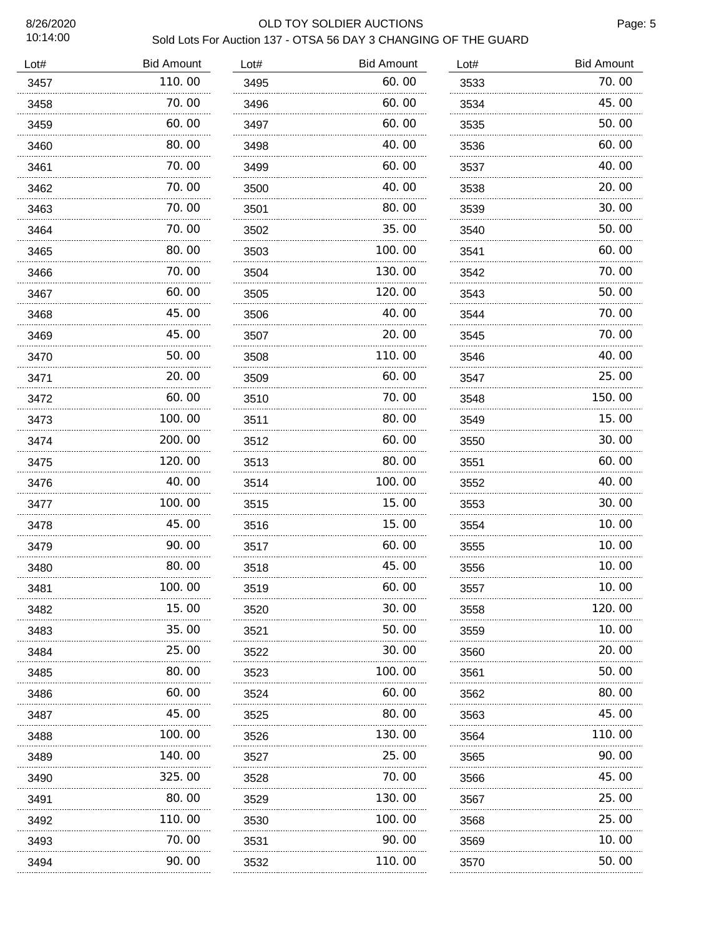## 8/26/2020 OLD TOY SOLDIER AUCTIONS Sold Lots For Auction 137 - OTSA 56 DAY 3 CHANGING OF THE GUARD

| Lot# | <b>Bid Amount</b> | Lot# | <b>Bid Amount</b> | Lot# | <b>Bid Amount</b> |
|------|-------------------|------|-------------------|------|-------------------|
| 3457 | 110.00            | 3495 | 60.00             | 3533 | 70.00             |
| 3458 | 70.00             | 3496 | 60.00             | 3534 | 45.00             |
| 3459 | .<br>60.00        | 3497 | .<br>60.00        | 3535 | 50.00             |
| 3460 | 80.00             | 3498 | 40.00             | 3536 | 60.00             |
| 3461 | 70.00             | 3499 | 60.00             | 3537 | 40.00             |
| 3462 | 70.00             | 3500 | 40.00             | 3538 | 20.00             |
| 3463 | 70.00             | 3501 | 80.00             | 3539 | 30.00             |
| 3464 | 70.00             | 3502 | 35.00             | 3540 | 50.00             |
| 3465 | 80.00             | 3503 | 100.00            | 3541 | 60.00             |
| 3466 | 70.00             | 3504 | 130.00            | 3542 | 70.00             |
| 3467 | 60.00             | 3505 | 120.00            | 3543 | 50.00             |
| 3468 | 45.00             | 3506 | 40.00             | 3544 | 70.00             |
| 3469 | 45.00             | 3507 | 20.00             | 3545 | 70.00             |
| 3470 | 50.00             | 3508 | 110.00            | 3546 | 40.00             |
| 3471 | 20.00             | 3509 | 60.00             | 3547 | 25.00             |
| 3472 | 60.00             | 3510 | 70.00             | 3548 | 150.00            |
| 3473 | 100.00            | 3511 | 80.00             | 3549 | 15.00             |
| 3474 | 200.00            | 3512 | 60.00             | 3550 | 30.00             |
| 3475 | 120.00            | 3513 | 80.00             | 3551 | 60.00             |
| 3476 | 40.00             | 3514 | 100.00            | 3552 | 40.00             |
| 3477 | 100.00            | 3515 | 15.00             | 3553 | 30.00             |
| 3478 | 45.00             | 3516 | 15.00             | 3554 | 10.00             |
| 3479 | 90.00             | 3517 | 60.00             | 3555 | 10.00             |
| 3480 | 80.00             | 3518 | 45.00             | 3556 | 10.00             |
| 3481 | 100.00            | 3519 | 60.00             | 3557 | 10.00             |
| 3482 | 15. 00            | 3520 | 30.00             | 3558 | 120.00            |
| 3483 | 35.00             | 3521 | 50.00             | 3559 | 10.00             |
| 3484 | 25.00             | 3522 | 30.00             | 3560 | 20.00             |
| 3485 | 80.00             | 3523 | 100.00            | 3561 | 50.00             |
| 3486 | 60.00             | 3524 | 60.00             | 3562 | 80.00             |
| 3487 | 45.00             | 3525 | 80.00             | 3563 | 45.00             |
| 3488 | 100.00            | 3526 | 130.00            | 3564 | 110.00            |
| 3489 | 140.00            | 3527 | 25.00             | 3565 | 90.00             |
| 3490 | 325.00            | 3528 | 70. 00            | 3566 | 45.00             |
| 3491 | 80.00             | 3529 | 130.00            | 3567 | 25.00             |
| 3492 | 110.00            | 3530 | 100.00            | 3568 | 25.00             |
| 3493 | 70.00             | 3531 | 90.00             | 3569 | 10.00             |
| 3494 | 90.00             | 3532 | 110.00            | 3570 | 50.00             |
|      |                   |      |                   |      |                   |